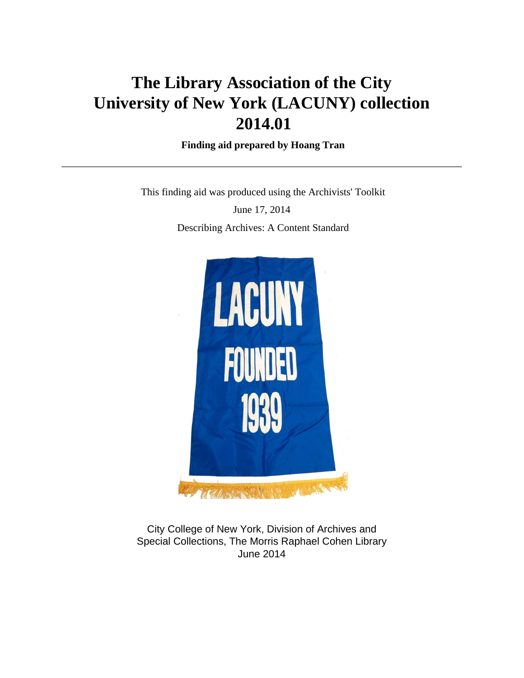# **The Library Association of the City University of New York (LACUNY) collection 2014.01**

 **Finding aid prepared by Hoang Tran**

This finding aid was produced using the Archivists' Toolkit

June 17, 2014 Describing Archives: A Content Standard



City College of New York, Division of Archives and Special Collections, The Morris Raphael Cohen Library June 2014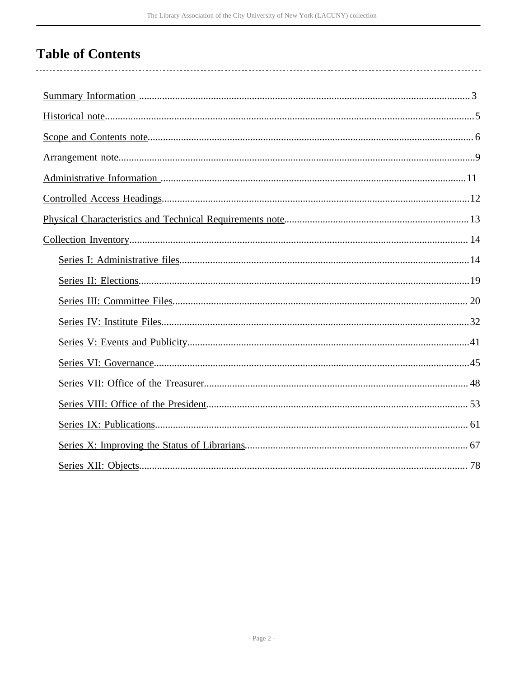# **Table of Contents**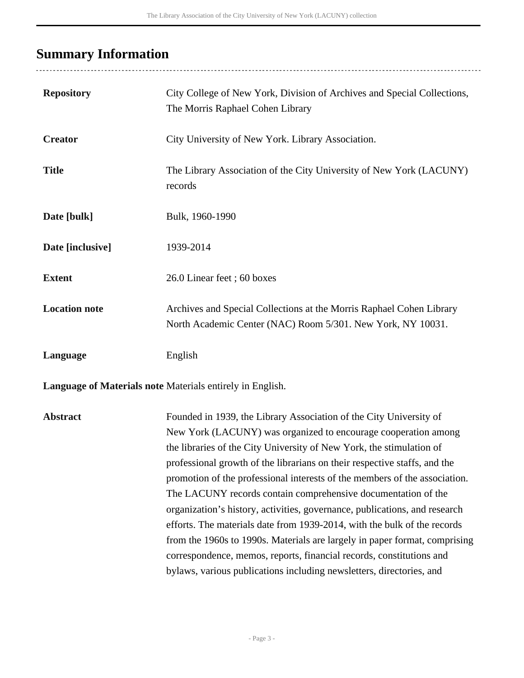## <span id="page-2-0"></span>**Summary Information**

| <b>Repository</b>    | City College of New York, Division of Archives and Special Collections,<br>The Morris Raphael Cohen Library                         |
|----------------------|-------------------------------------------------------------------------------------------------------------------------------------|
| <b>Creator</b>       | City University of New York. Library Association.                                                                                   |
| <b>Title</b>         | The Library Association of the City University of New York (LACUNY)<br>records                                                      |
| Date [bulk]          | Bulk, 1960-1990                                                                                                                     |
| Date [inclusive]     | 1939-2014                                                                                                                           |
| <b>Extent</b>        | 26.0 Linear feet; 60 boxes                                                                                                          |
| <b>Location note</b> | Archives and Special Collections at the Morris Raphael Cohen Library<br>North Academic Center (NAC) Room 5/301. New York, NY 10031. |
| Language             | English                                                                                                                             |

**Language of Materials note** Materials entirely in English.

**Abstract** Founded in 1939, the Library Association of the City University of New York (LACUNY) was organized to encourage cooperation among the libraries of the City University of New York, the stimulation of professional growth of the librarians on their respective staffs, and the promotion of the professional interests of the members of the association. The LACUNY records contain comprehensive documentation of the organization's history, activities, governance, publications, and research efforts. The materials date from 1939-2014, with the bulk of the records from the 1960s to 1990s. Materials are largely in paper format, comprising correspondence, memos, reports, financial records, constitutions and bylaws, various publications including newsletters, directories, and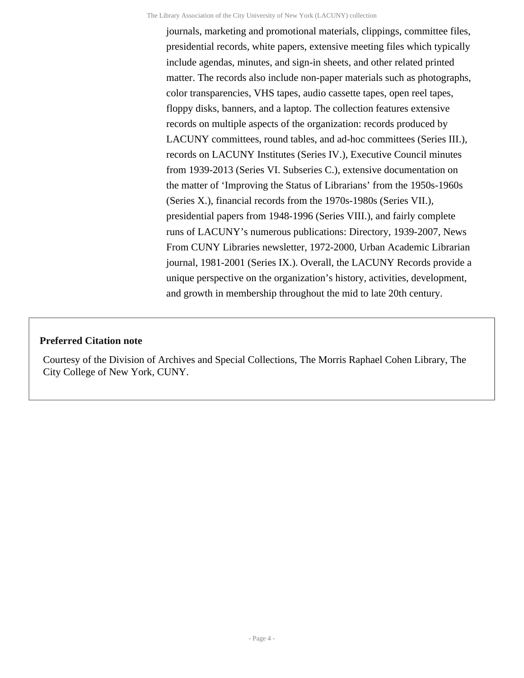journals, marketing and promotional materials, clippings, committee files, presidential records, white papers, extensive meeting files which typically include agendas, minutes, and sign-in sheets, and other related printed matter. The records also include non-paper materials such as photographs, color transparencies, VHS tapes, audio cassette tapes, open reel tapes, floppy disks, banners, and a laptop. The collection features extensive records on multiple aspects of the organization: records produced by LACUNY committees, round tables, and ad-hoc committees (Series III.), records on LACUNY Institutes (Series IV.), Executive Council minutes from 1939-2013 (Series VI. Subseries C.), extensive documentation on the matter of 'Improving the Status of Librarians' from the 1950s-1960s (Series X.), financial records from the 1970s-1980s (Series VII.), presidential papers from 1948-1996 (Series VIII.), and fairly complete runs of LACUNY's numerous publications: Directory, 1939-2007, News From CUNY Libraries newsletter, 1972-2000, Urban Academic Librarian journal, 1981-2001 (Series IX.). Overall, the LACUNY Records provide a unique perspective on the organization's history, activities, development, and growth in membership throughout the mid to late 20th century.

#### **Preferred Citation note**

Courtesy of the Division of Archives and Special Collections, The Morris Raphael Cohen Library, The City College of New York, CUNY.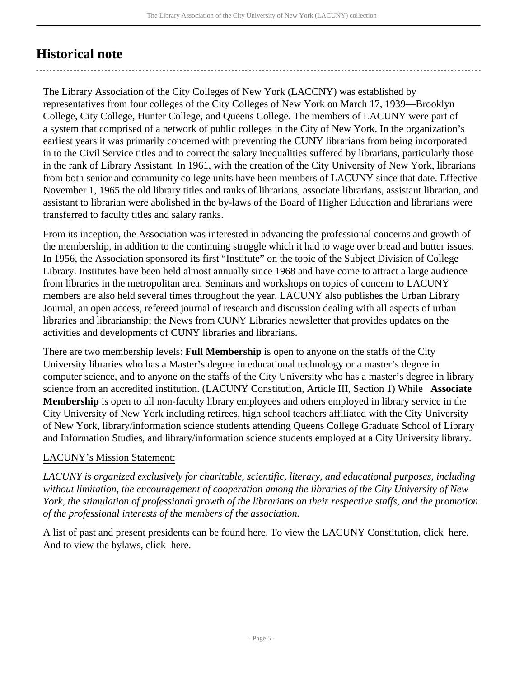## <span id="page-4-0"></span>**Historical note**

The Library Association of the City Colleges of New York (LACCNY) was established by representatives from four colleges of the City Colleges of New York on March 17, 1939—Brooklyn College, City College, Hunter College, and Queens College. The members of LACUNY were part of a system that comprised of a network of public colleges in the City of New York. In the organization's earliest years it was primarily concerned with preventing the CUNY librarians from being incorporated in to the Civil Service titles and to correct the salary inequalities suffered by librarians, particularly those in the rank of Library Assistant. In 1961, with the creation of the City University of New York, librarians from both senior and community college units have been members of LACUNY since that date. Effective November 1, 1965 the old library titles and ranks of librarians, associate librarians, assistant librarian, and assistant to librarian were abolished in the by-laws of the Board of Higher Education and librarians were transferred to faculty titles and salary ranks.

From its inception, the Association was interested in advancing the professional concerns and growth of the membership, in addition to the continuing struggle which it had to wage over bread and butter issues. In 1956, the Association sponsored its first "Institute" on the topic of the Subject Division of College Library. Institutes have been held almost annually since 1968 and have come to attract a large audience from libraries in the metropolitan area. Seminars and workshops on topics of concern to LACUNY members are also held several times throughout the year. LACUNY also publishes the Urban Library Journal, an open access, refereed journal of research and discussion dealing with all aspects of urban libraries and librarianship; the News from CUNY Libraries newsletter that provides updates on the activities and developments of CUNY libraries and librarians.

There are two membership levels: **Full Membership** is open to anyone on the staffs of the City University libraries who has a Master's degree in educational technology or a master's degree in computer science, and to anyone on the staffs of the City University who has a master's degree in library science from an accredited institution. (LACUNY Constitution, Article III, Section 1) While **Associate Membership** is open to all non-faculty library employees and others employed in library service in the City University of New York including retirees, high school teachers affiliated with the City University of New York, library/information science students attending Queens College Graduate School of Library and Information Studies, and library/information science students employed at a City University library.

## LACUNY's Mission Statement:

*LACUNY is organized exclusively for charitable, scientific, literary, and educational purposes, including without limitation, the encouragement of cooperation among the libraries of the City University of New York, the stimulation of professional growth of the librarians on their respective staffs, and the promotion of the professional interests of the members of the association.*

A list of past and present presidents can be found [here.](http://lacuny.org/about/lacunys-history/) To view the LACUNY Constitution, click [here.](http://lacuny.org/about/constitution/) And to view the bylaws, click [here.](http://lacuny.org/about/by-laws/)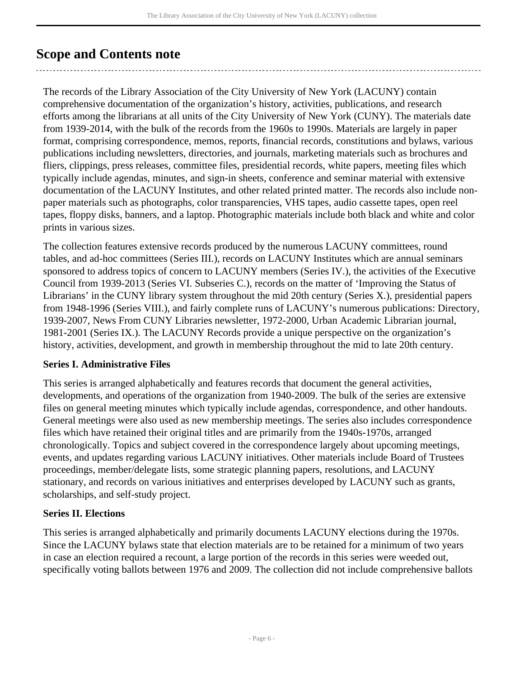## <span id="page-5-0"></span>**Scope and Contents note**

The records of the Library Association of the City University of New York (LACUNY) contain comprehensive documentation of the organization's history, activities, publications, and research efforts among the librarians at all units of the City University of New York (CUNY). The materials date from 1939-2014, with the bulk of the records from the 1960s to 1990s. Materials are largely in paper format, comprising correspondence, memos, reports, financial records, constitutions and bylaws, various publications including newsletters, directories, and journals, marketing materials such as brochures and fliers, clippings, press releases, committee files, presidential records, white papers, meeting files which typically include agendas, minutes, and sign-in sheets, conference and seminar material with extensive documentation of the LACUNY Institutes, and other related printed matter. The records also include nonpaper materials such as photographs, color transparencies, VHS tapes, audio cassette tapes, open reel tapes, floppy disks, banners, and a laptop. Photographic materials include both black and white and color prints in various sizes.

The collection features extensive records produced by the numerous LACUNY committees, round tables, and ad-hoc committees (Series III.), records on LACUNY Institutes which are annual seminars sponsored to address topics of concern to LACUNY members (Series IV.), the activities of the Executive Council from 1939-2013 (Series VI. Subseries C.), records on the matter of 'Improving the Status of Librarians' in the CUNY library system throughout the mid 20th century (Series X.), presidential papers from 1948-1996 (Series VIII.), and fairly complete runs of LACUNY's numerous publications: Directory, 1939-2007, News From CUNY Libraries newsletter, 1972-2000, Urban Academic Librarian journal, 1981-2001 (Series IX.). The LACUNY Records provide a unique perspective on the organization's history, activities, development, and growth in membership throughout the mid to late 20th century.

## **Series I. Administrative Files**

This series is arranged alphabetically and features records that document the general activities, developments, and operations of the organization from 1940-2009. The bulk of the series are extensive files on general meeting minutes which typically include agendas, correspondence, and other handouts. General meetings were also used as new membership meetings. The series also includes correspondence files which have retained their original titles and are primarily from the 1940s-1970s, arranged chronologically. Topics and subject covered in the correspondence largely about upcoming meetings, events, and updates regarding various LACUNY initiatives. Other materials include Board of Trustees proceedings, member/delegate lists, some strategic planning papers, resolutions, and LACUNY stationary, and records on various initiatives and enterprises developed by LACUNY such as grants, scholarships, and self-study project.

## **Series II. Elections**

This series is arranged alphabetically and primarily documents LACUNY elections during the 1970s. Since the LACUNY bylaws state that election materials are to be retained for a minimum of two years in case an election required a recount, a large portion of the records in this series were weeded out, specifically voting ballots between 1976 and 2009. The collection did not include comprehensive ballots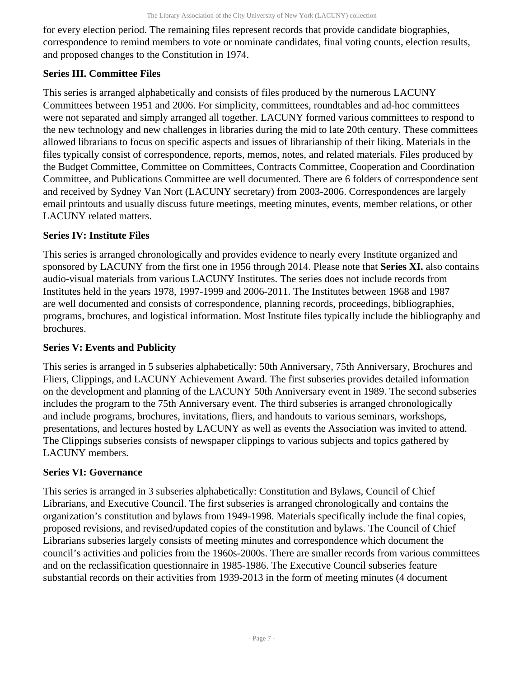for every election period. The remaining files represent records that provide candidate biographies, correspondence to remind members to vote or nominate candidates, final voting counts, election results, and proposed changes to the Constitution in 1974.

## **Series III. Committee Files**

This series is arranged alphabetically and consists of files produced by the numerous LACUNY Committees between 1951 and 2006. For simplicity, committees, roundtables and ad-hoc committees were not separated and simply arranged all together. LACUNY formed various committees to respond to the new technology and new challenges in libraries during the mid to late 20th century. These committees allowed librarians to focus on specific aspects and issues of librarianship of their liking. Materials in the files typically consist of correspondence, reports, memos, notes, and related materials. Files produced by the Budget Committee, Committee on Committees, Contracts Committee, Cooperation and Coordination Committee, and Publications Committee are well documented. There are 6 folders of correspondence sent and received by Sydney Van Nort (LACUNY secretary) from 2003-2006. Correspondences are largely email printouts and usually discuss future meetings, meeting minutes, events, member relations, or other LACUNY related matters.

## **Series IV: Institute Files**

This series is arranged chronologically and provides evidence to nearly every Institute organized and sponsored by LACUNY from the first one in 1956 through 2014. Please note that **Series XI.** also contains audio-visual materials from various LACUNY Institutes. The series does not include records from Institutes held in the years 1978, 1997-1999 and 2006-2011. The Institutes between 1968 and 1987 are well documented and consists of correspondence, planning records, proceedings, bibliographies, programs, brochures, and logistical information. Most Institute files typically include the bibliography and brochures.

## **Series V: Events and Publicity**

This series is arranged in 5 subseries alphabetically: 50th Anniversary, 75th Anniversary, Brochures and Fliers, Clippings, and LACUNY Achievement Award. The first subseries provides detailed information on the development and planning of the LACUNY 50th Anniversary event in 1989. The second subseries includes the program to the 75th Anniversary event. The third subseries is arranged chronologically and include programs, brochures, invitations, fliers, and handouts to various seminars, workshops, presentations, and lectures hosted by LACUNY as well as events the Association was invited to attend. The Clippings subseries consists of newspaper clippings to various subjects and topics gathered by LACUNY members.

## **Series VI: Governance**

This series is arranged in 3 subseries alphabetically: Constitution and Bylaws, Council of Chief Librarians, and Executive Council. The first subseries is arranged chronologically and contains the organization's constitution and bylaws from 1949-1998. Materials specifically include the final copies, proposed revisions, and revised/updated copies of the constitution and bylaws. The Council of Chief Librarians subseries largely consists of meeting minutes and correspondence which document the council's activities and policies from the 1960s-2000s. There are smaller records from various committees and on the reclassification questionnaire in 1985-1986. The Executive Council subseries feature substantial records on their activities from 1939-2013 in the form of meeting minutes (4 document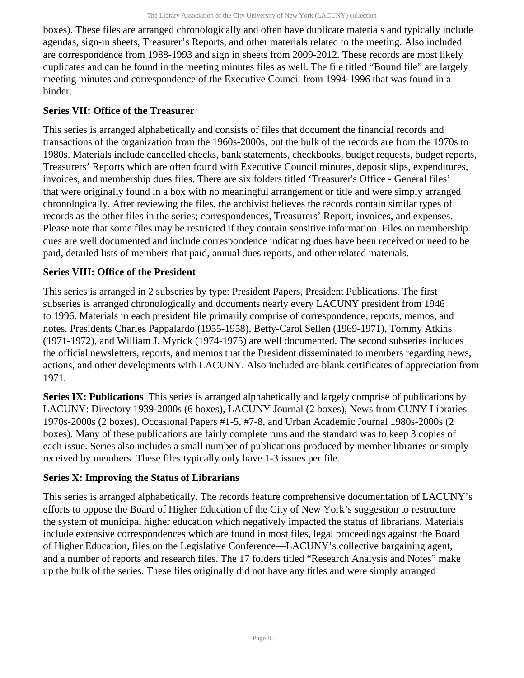boxes). These files are arranged chronologically and often have duplicate materials and typically include agendas, sign-in sheets, Treasurer's Reports, and other materials related to the meeting. Also included are correspondence from 1988-1993 and sign in sheets from 2009-2012. These records are most likely duplicates and can be found in the meeting minutes files as well. The file titled "Bound file" are largely meeting minutes and correspondence of the Executive Council from 1994-1996 that was found in a binder.

## **Series VII: Office of the Treasurer**

This series is arranged alphabetically and consists of files that document the financial records and transactions of the organization from the 1960s-2000s, but the bulk of the records are from the 1970s to 1980s. Materials include cancelled checks, bank statements, checkbooks, budget requests, budget reports, Treasurers' Reports which are often found with Executive Council minutes, deposit slips, expenditures, invoices, and membership dues files. There are six folders titled 'Treasurer's Office - General files' that were originally found in a box with no meaningful arrangement or title and were simply arranged chronologically. After reviewing the files, the archivist believes the records contain similar types of records as the other files in the series; correspondences, Treasurers' Report, invoices, and expenses. Please note that some files may be restricted if they contain sensitive information. Files on membership dues are well documented and include correspondence indicating dues have been received or need to be paid, detailed lists of members that paid, annual dues reports, and other related materials.

## **Series VIII: Office of the President**

This series is arranged in 2 subseries by type: President Papers, President Publications. The first subseries is arranged chronologically and documents nearly every LACUNY president from 1946 to 1996. Materials in each president file primarily comprise of correspondence, reports, memos, and notes. Presidents Charles Pappalardo (1955-1958), Betty-Carol Sellen (1969-1971), Tommy Atkins (1971-1972), and William J. Myrick (1974-1975) are well documented. The second subseries includes the official newsletters, reports, and memos that the President disseminated to members regarding news, actions, and other developments with LACUNY. Also included are blank certificates of appreciation from 1971.

**Series IX: Publications** This series is arranged alphabetically and largely comprise of publications by LACUNY: Directory 1939-2000s (6 boxes), LACUNY Journal (2 boxes), News from CUNY Libraries 1970s-2000s (2 boxes), Occasional Papers #1-5, #7-8, and Urban Academic Journal 1980s-2000s (2 boxes). Many of these publications are fairly complete runs and the standard was to keep 3 copies of each issue. Series also includes a small number of publications produced by member libraries or simply received by members. These files typically only have 1-3 issues per file.

## **Series X: Improving the Status of Librarians**

This series is arranged alphabetically. The records feature comprehensive documentation of LACUNY's efforts to oppose the Board of Higher Education of the City of New York's suggestion to restructure the system of municipal higher education which negatively impacted the status of librarians. Materials include extensive correspondences which are found in most files, legal proceedings against the Board of Higher Education, files on the Legislative Conference—LACUNY's collective bargaining agent, and a number of reports and research files. The 17 folders titled "Research Analysis and Notes" make up the bulk of the series. These files originally did not have any titles and were simply arranged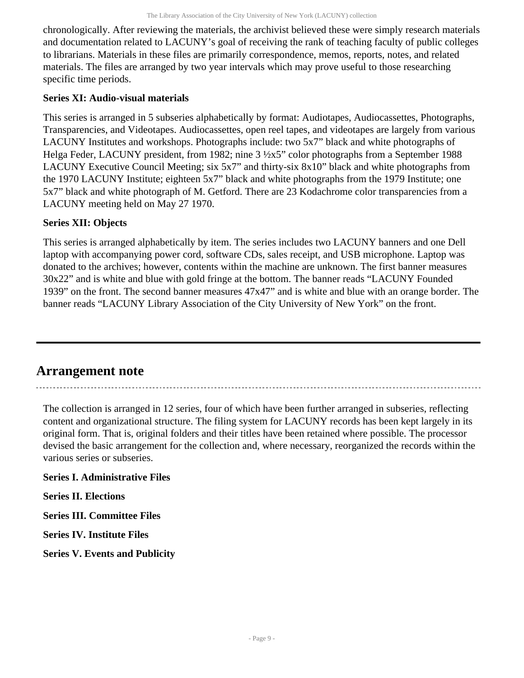chronologically. After reviewing the materials, the archivist believed these were simply research materials and documentation related to LACUNY's goal of receiving the rank of teaching faculty of public colleges to librarians. Materials in these files are primarily correspondence, memos, reports, notes, and related materials. The files are arranged by two year intervals which may prove useful to those researching specific time periods.

## **Series XI: Audio-visual materials**

This series is arranged in 5 subseries alphabetically by format: Audiotapes, Audiocassettes, Photographs, Transparencies, and Videotapes. Audiocassettes, open reel tapes, and videotapes are largely from various LACUNY Institutes and workshops. Photographs include: two 5x7" black and white photographs of Helga Feder, LACUNY president, from 1982; nine 3 ½x5" color photographs from a September 1988 LACUNY Executive Council Meeting; six 5x7" and thirty-six 8x10" black and white photographs from the 1970 LACUNY Institute; eighteen 5x7" black and white photographs from the 1979 Institute; one 5x7" black and white photograph of M. Getford. There are 23 Kodachrome color transparencies from a LACUNY meeting held on May 27 1970.

## **Series XII: Objects**

This series is arranged alphabetically by item. The series includes two LACUNY banners and one Dell laptop with accompanying power cord, software CDs, sales receipt, and USB microphone. Laptop was donated to the archives; however, contents within the machine are unknown. The first banner measures 30x22" and is white and blue with gold fringe at the bottom. The banner reads "LACUNY Founded 1939" on the front. The second banner measures 47x47" and is white and blue with an orange border. The banner reads "LACUNY Library Association of the City University of New York" on the front.

## <span id="page-8-0"></span>**Arrangement note**

The collection is arranged in 12 series, four of which have been further arranged in subseries, reflecting content and organizational structure. The filing system for LACUNY records has been kept largely in its original form. That is, original folders and their titles have been retained where possible. The processor devised the basic arrangement for the collection and, where necessary, reorganized the records within the various series or subseries.

**Series I. Administrative Files**

**Series II. Elections**

**Series III. Committee Files**

**Series IV. Institute Files**

**Series V. Events and Publicity**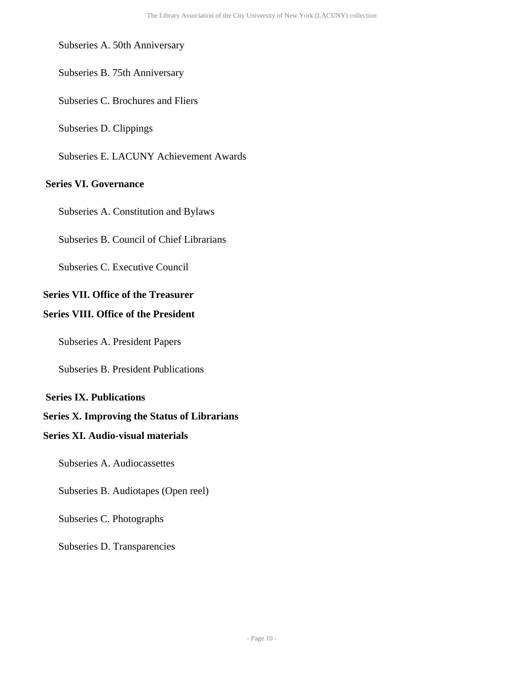#### Subseries A. 50th Anniversary

Subseries B. 75th Anniversary

Subseries C. Brochures and Fliers

Subseries D. Clippings

Subseries E. LACUNY Achievement Awards

## **Series VI. Governance**

Subseries A. Constitution and Bylaws

Subseries B. Council of Chief Librarians

Subseries C. Executive Council

## **Series VII. Office of the Treasurer**

#### **Series VIII. Office of the President**

Subseries A. President Papers

Subseries B. President Publications

#### **Series IX. Publications**

## **Series X. Improving the Status of Librarians**

## **Series XI. Audio-visual materials**

Subseries A. Audiocassettes

Subseries B. Audiotapes (Open reel)

Subseries C. Photographs

Subseries D. Transparencies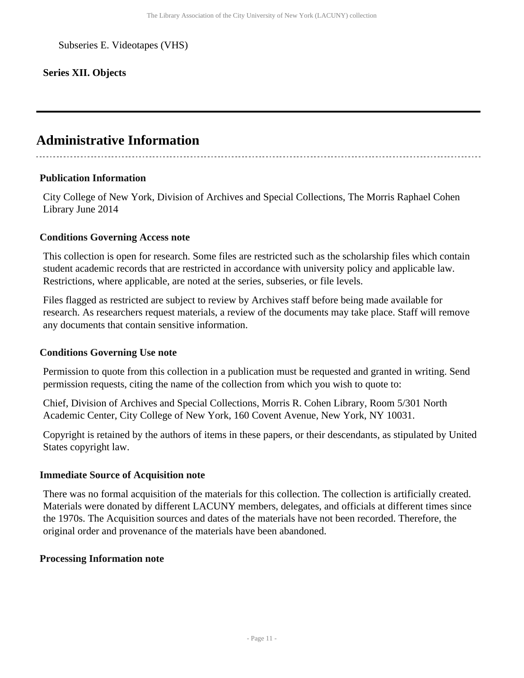Subseries E. Videotapes (VHS)

## **Series XII. Objects**

## <span id="page-10-0"></span>**Administrative Information**

#### **Publication Information**

City College of New York, Division of Archives and Special Collections, The Morris Raphael Cohen Library June 2014

#### **Conditions Governing Access note**

This collection is open for research. Some files are restricted such as the scholarship files which contain student academic records that are restricted in accordance with university policy and applicable law. Restrictions, where applicable, are noted at the series, subseries, or file levels.

Files flagged as restricted are subject to review by Archives staff before being made available for research. As researchers request materials, a review of the documents may take place. Staff will remove any documents that contain sensitive information.

#### **Conditions Governing Use note**

Permission to quote from this collection in a publication must be requested and granted in writing. Send permission requests, citing the name of the collection from which you wish to quote to:

Chief, Division of Archives and Special Collections, Morris R. Cohen Library, Room 5/301 North Academic Center, City College of New York, 160 Covent Avenue, New York, NY 10031.

Copyright is retained by the authors of items in these papers, or their descendants, as stipulated by United States copyright law.

#### **Immediate Source of Acquisition note**

There was no formal acquisition of the materials for this collection. The collection is artificially created. Materials were donated by different LACUNY members, delegates, and officials at different times since the 1970s. The Acquisition sources and dates of the materials have not been recorded. Therefore, the original order and provenance of the materials have been abandoned.

#### **Processing Information note**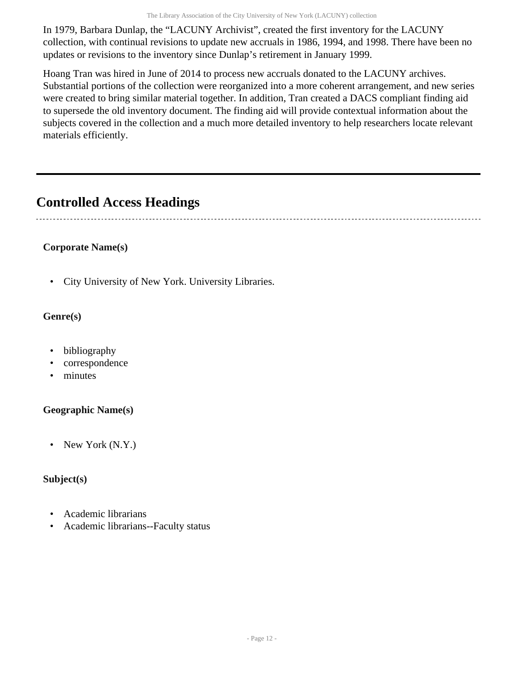In 1979, Barbara Dunlap, the "LACUNY Archivist", created the first inventory for the LACUNY collection, with continual revisions to update new accruals in 1986, 1994, and 1998. There have been no updates or revisions to the inventory since Dunlap's retirement in January 1999.

Hoang Tran was hired in June of 2014 to process new accruals donated to the LACUNY archives. Substantial portions of the collection were reorganized into a more coherent arrangement, and new series were created to bring similar material together. In addition, Tran created a DACS compliant finding aid to supersede the old inventory document. The finding aid will provide contextual information about the subjects covered in the collection and a much more detailed inventory to help researchers locate relevant materials efficiently.

## <span id="page-11-0"></span>**Controlled Access Headings**

## **Corporate Name(s)**

• City University of New York. University Libraries.

## **Genre(s)**

- bibliography
- correspondence
- minutes

## **Geographic Name(s)**

• New York (N.Y.)

## **Subject(s)**

- Academic librarians
- Academic librarians--Faculty status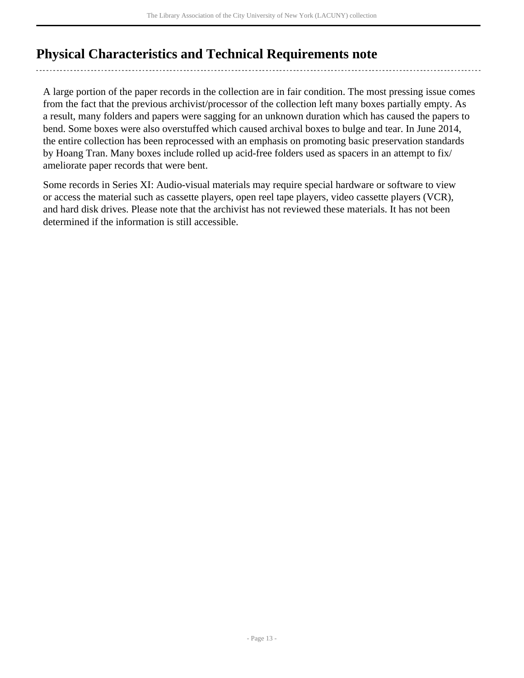## <span id="page-12-0"></span>**Physical Characteristics and Technical Requirements note**

A large portion of the paper records in the collection are in fair condition. The most pressing issue comes from the fact that the previous archivist/processor of the collection left many boxes partially empty. As a result, many folders and papers were sagging for an unknown duration which has caused the papers to bend. Some boxes were also overstuffed which caused archival boxes to bulge and tear. In June 2014, the entire collection has been reprocessed with an emphasis on promoting basic preservation standards by Hoang Tran. Many boxes include rolled up acid-free folders used as spacers in an attempt to fix/ ameliorate paper records that were bent.

Some records in Series XI: Audio-visual materials may require special hardware or software to view or access the material such as cassette players, open reel tape players, video cassette players (VCR), and hard disk drives. Please note that the archivist has not reviewed these materials. It has not been determined if the information is still accessible.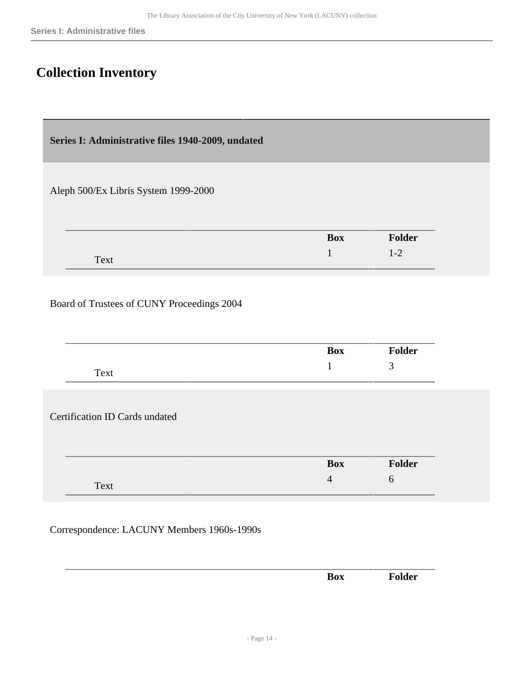## <span id="page-13-0"></span>**Collection Inventory**

<span id="page-13-1"></span>**Series I: Administrative files 1940-2009, undated** 

Aleph 500/Ex Libris System 1999-2000

| ____ | <b>Box</b> | <b>Folder</b>            |
|------|------------|--------------------------|
| Text |            | $\overline{\phantom{a}}$ |

## Board of Trustees of CUNY Proceedings 2004

| 3<br>Text<br><b>Certification ID Cards undated</b> | Box | <b>Folder</b> |
|----------------------------------------------------|-----|---------------|
|                                                    |     |               |
|                                                    |     |               |
|                                                    |     |               |
|                                                    |     |               |
| Folder<br><b>Box</b>                               |     |               |

Correspondence: LACUNY Members 1960s-1990s

|  |  | $\sim$ $-$ |
|--|--|------------|
|  |  |            |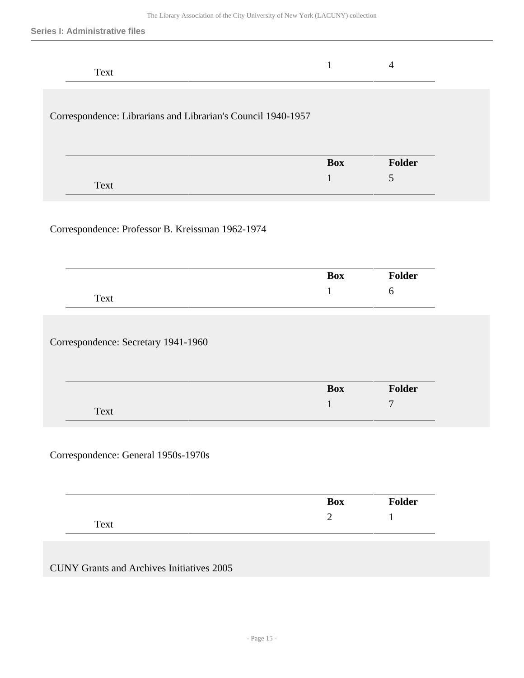| Text                                                         |            | 4             |
|--------------------------------------------------------------|------------|---------------|
| Correspondence: Librarians and Librarian's Council 1940-1957 |            |               |
| Text                                                         | <b>Box</b> | <b>Folder</b> |

## Correspondence: Professor B. Kreissman 1962-1974

| <b>Folder</b><br><b>Box</b> |
|-----------------------------|
| Text                        |

Correspondence: Secretary 1941-1960

|      | <b>Box</b> | <b>Folder</b>  |
|------|------------|----------------|
| Text |            | $\overline{ }$ |

Correspondence: General 1950s-1970s

| ----- | <b>Box</b> | $\mathbf{v}_0$ lder |
|-------|------------|---------------------|
| Text  |            |                     |

CUNY Grants and Archives Initiatives 2005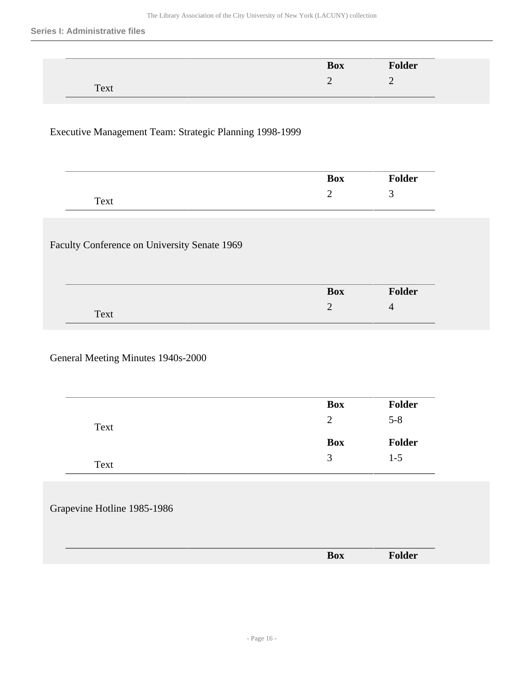| $\overline{\phantom{a}}$ |            |                          |
|--------------------------|------------|--------------------------|
|                          | <b>Box</b> | <b>Folder</b>            |
|                          | ◠<br>-     | $\overline{\phantom{0}}$ |
| Text                     |            |                          |

#### Executive Management Team: Strategic Planning 1998-1999

|      | <b>Box</b> | . .<br>older |
|------|------------|--------------|
|      |            | ۰.           |
| Text |            |              |

#### Faculty Conference on University Senate 1969

|      | <b>Box</b>                    | $\tau$ older |
|------|-------------------------------|--------------|
| Text | ∽<br>$\overline{\phantom{0}}$ | $\epsilon$   |

#### General Meeting Minutes 1940s-2000

|      | <b>Box</b> | Folder  |
|------|------------|---------|
| Text | 2          | $5 - 8$ |
|      | <b>Box</b> | Folder  |
|      |            | $1-5$   |

#### Grapevine Hotline 1985-1986

|  | _______ | _____ |
|--|---------|-------|
|  |         |       |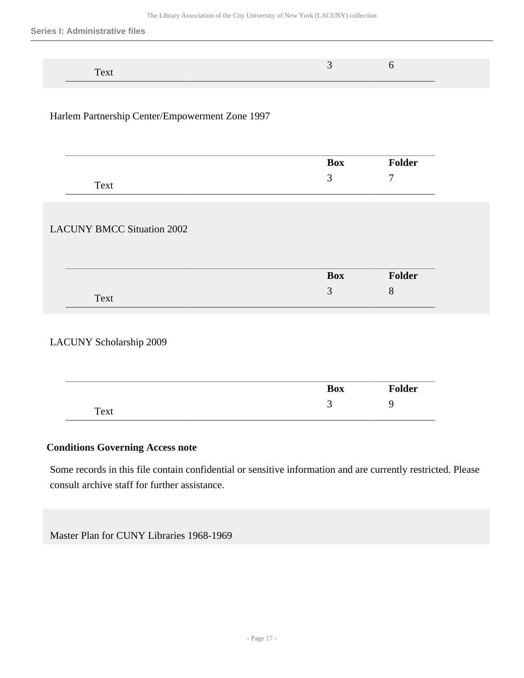| _______ |  |  |
|---------|--|--|

#### Harlem Partnership Center/Empowerment Zone 1997

|                                   | Box        | Folder |
|-----------------------------------|------------|--------|
| Text                              | 3          | 7      |
|                                   |            |        |
|                                   |            |        |
| <b>LACUNY BMCC Situation 2002</b> |            |        |
|                                   |            |        |
|                                   | <b>Box</b> | Folder |

## LACUNY Scholarship 2009

|      | <b>Box</b> | <b>Folder</b> |
|------|------------|---------------|
| Text | ັ          |               |

### **Conditions Governing Access note**

Some records in this file contain confidential or sensitive information and are currently restricted. Please consult archive staff for further assistance.

Master Plan for CUNY Libraries 1968-1969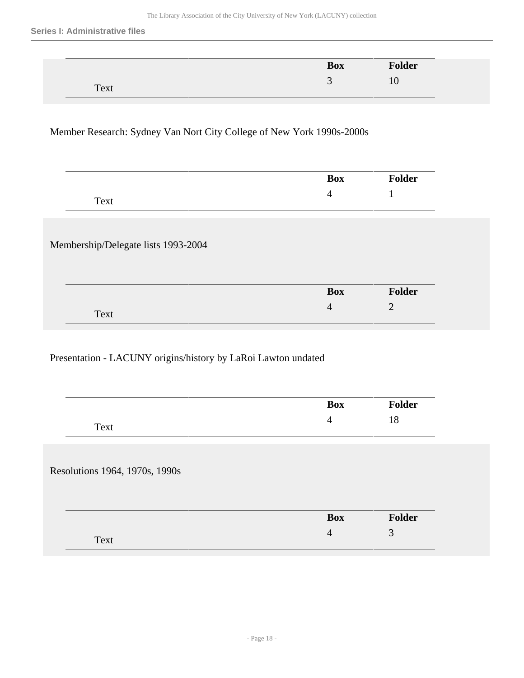| ------                                 | <b>Box</b> | .<br>older |
|----------------------------------------|------------|------------|
| $T_{\alpha v}$<br>$\mathcal{L} \Omega$ | $\sim$     |            |

## Member Research: Sydney Van Nort City College of New York 1990s-2000s

|      | 30x | lder |
|------|-----|------|
| Text | . . |      |

#### Membership/Delegate lists 1993-2004

|      | <b>Box</b> | <b>Folder</b> |
|------|------------|---------------|
| Text | $\sim$     | ╭<br>-        |

#### Presentation - LACUNY origins/history by LaRoi Lawton undated

|                                | <b>Box</b>     | <b>Folder</b> |
|--------------------------------|----------------|---------------|
| Text                           | $\overline{4}$ | 18            |
|                                |                |               |
|                                |                |               |
|                                |                |               |
|                                |                |               |
|                                |                |               |
| Resolutions 1964, 1970s, 1990s | <b>Box</b>     | Folder        |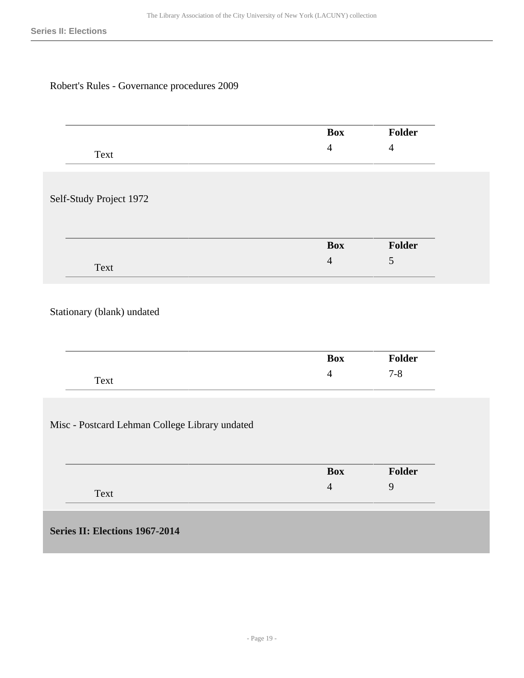## Robert's Rules - Governance procedures 2009

<span id="page-18-0"></span>

|                                                | <b>Box</b>     | Folder         |
|------------------------------------------------|----------------|----------------|
| Text                                           | $\overline{4}$ | $\overline{4}$ |
|                                                |                |                |
|                                                |                |                |
| Self-Study Project 1972                        |                |                |
|                                                |                |                |
|                                                |                |                |
|                                                | <b>Box</b>     | Folder         |
| Text                                           | $\overline{4}$ | 5              |
|                                                |                |                |
|                                                |                |                |
| Stationary (blank) undated                     |                |                |
|                                                |                |                |
|                                                |                |                |
|                                                | <b>Box</b>     | Folder         |
| Text                                           | $\overline{4}$ | $7 - 8$        |
|                                                |                |                |
|                                                |                |                |
| Misc - Postcard Lehman College Library undated |                |                |
|                                                |                |                |
|                                                |                |                |
|                                                | <b>Box</b>     | <b>Folder</b>  |
|                                                | $\overline{4}$ | 9              |
| Text                                           |                |                |
|                                                |                |                |
| Series II: Elections 1967-2014                 |                |                |
|                                                |                |                |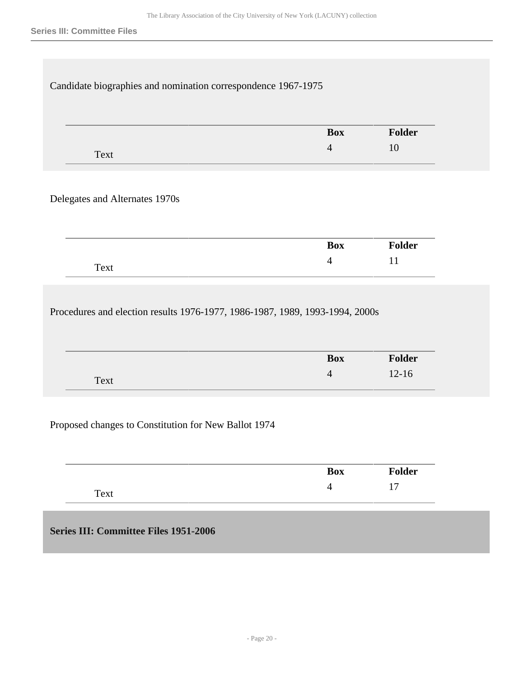| Candidate biographies and nomination correspondence 1967-1975                |                              |                     |
|------------------------------------------------------------------------------|------------------------------|---------------------|
|                                                                              |                              |                     |
|                                                                              | <b>Box</b>                   | Folder              |
| Text                                                                         | $\overline{4}$               | 10                  |
|                                                                              |                              |                     |
| Delegates and Alternates 1970s                                               |                              |                     |
|                                                                              |                              |                     |
|                                                                              |                              |                     |
|                                                                              | <b>Box</b>                   | <b>Folder</b>       |
| Text                                                                         | $\overline{4}$               | 11                  |
|                                                                              |                              |                     |
|                                                                              |                              |                     |
| Procedures and election results 1976-1977, 1986-1987, 1989, 1993-1994, 2000s |                              |                     |
|                                                                              |                              |                     |
|                                                                              |                              |                     |
|                                                                              | <b>Box</b><br>$\overline{4}$ | Folder<br>$12 - 16$ |
| Text                                                                         |                              |                     |
|                                                                              |                              |                     |
| Proposed changes to Constitution for New Ballot 1974                         |                              |                     |
|                                                                              |                              |                     |

<span id="page-19-0"></span>**Series III: Committee Files 1951-2006** 

Text

4 17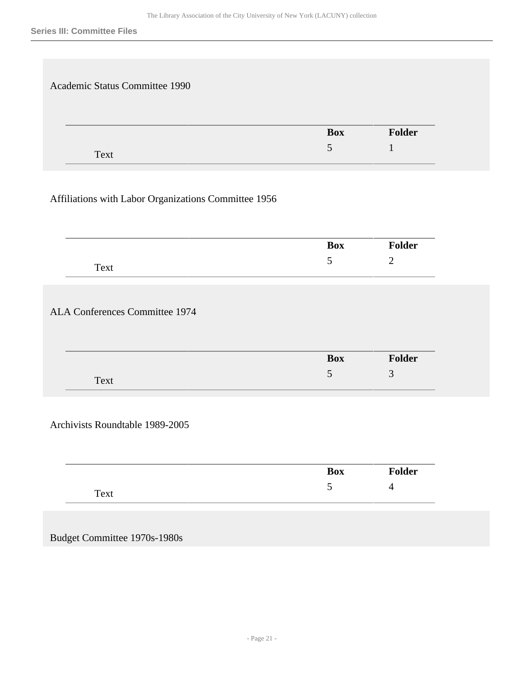| Academic Status Committee 1990 |                |        |
|--------------------------------|----------------|--------|
|                                | <b>Box</b>     | Folder |
|                                | $\mathfrak{H}$ |        |

## Affiliations with Labor Organizations Committee 1956

|                                       | <b>Box</b> | <b>Folder</b>  |
|---------------------------------------|------------|----------------|
| Text                                  | 5          | $\overline{2}$ |
|                                       |            |                |
|                                       |            |                |
|                                       |            |                |
|                                       |            |                |
|                                       |            |                |
| <b>ALA Conferences Committee 1974</b> | <b>Box</b> | Folder         |

Archivists Roundtable 1989-2005

| _    | <b>Box</b> | <b>Folder</b> |
|------|------------|---------------|
| Text | ັ          | -             |

Budget Committee 1970s-1980s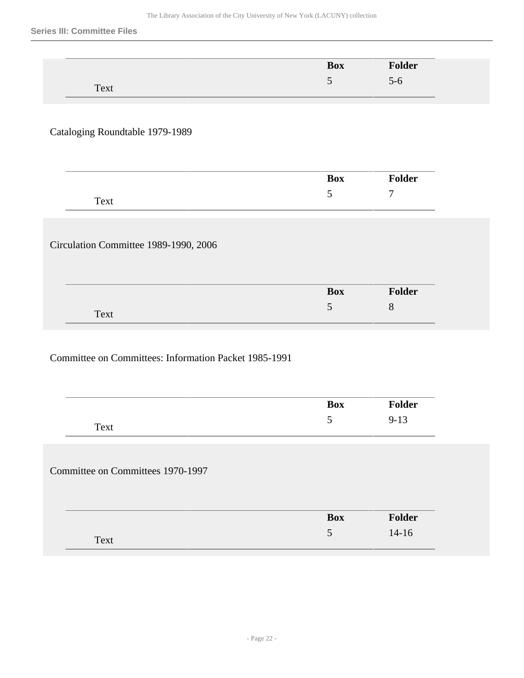|      | <b>Box</b>                    | <b>Folder</b> |
|------|-------------------------------|---------------|
|      | ∍<br>$\overline{\phantom{0}}$ | $5 - 6$       |
| Text |                               |               |

## Cataloging Roundtable 1979-1989

|      | <b>Box</b> | ! ⌒**<br>lСI |
|------|------------|--------------|
| Text | ັ          | ┍┓           |

#### Circulation Committee 1989-1990, 2006

|      | <b>Box</b>               | <b>Folder</b> |
|------|--------------------------|---------------|
| Text | $\overline{\phantom{0}}$ | ື             |

## Committee on Committees: Information Packet 1985-1991

|                                   | <b>Box</b> | Folder   |
|-----------------------------------|------------|----------|
| Text                              | 5          | $9 - 13$ |
|                                   |            |          |
|                                   |            |          |
|                                   |            |          |
| Committee on Committees 1970-1997 |            |          |
|                                   |            |          |
|                                   | <b>Box</b> | Folder   |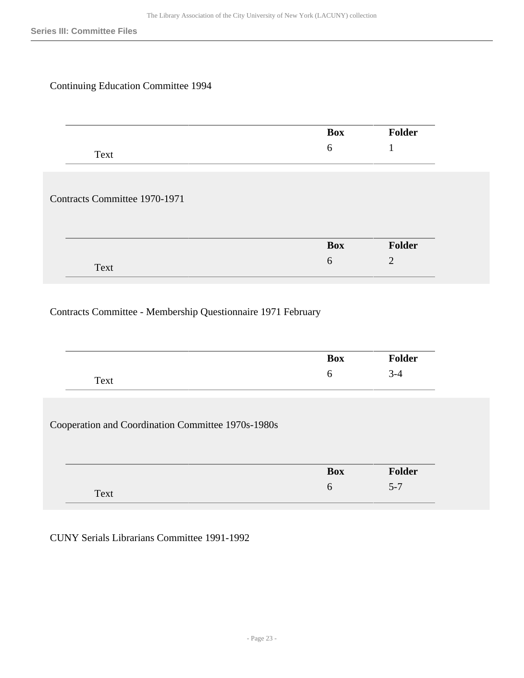## Continuing Education Committee 1994

|                               | Box        | Folder |
|-------------------------------|------------|--------|
| Text                          | 6          |        |
|                               |            |        |
|                               |            |        |
|                               |            |        |
|                               |            |        |
| Contracts Committee 1970-1971 | <b>Box</b> | Folder |

## Contracts Committee - Membership Questionnaire 1971 February

|                                                    | <b>Box</b>      | <b>Folder</b>            |
|----------------------------------------------------|-----------------|--------------------------|
| Text                                               | 6               | $3 - 4$                  |
|                                                    |                 |                          |
|                                                    |                 |                          |
| Cooperation and Coordination Committee 1970s-1980s |                 |                          |
|                                                    |                 |                          |
|                                                    | <b>Box</b><br>6 | <b>Folder</b><br>$5 - 7$ |

CUNY Serials Librarians Committee 1991-1992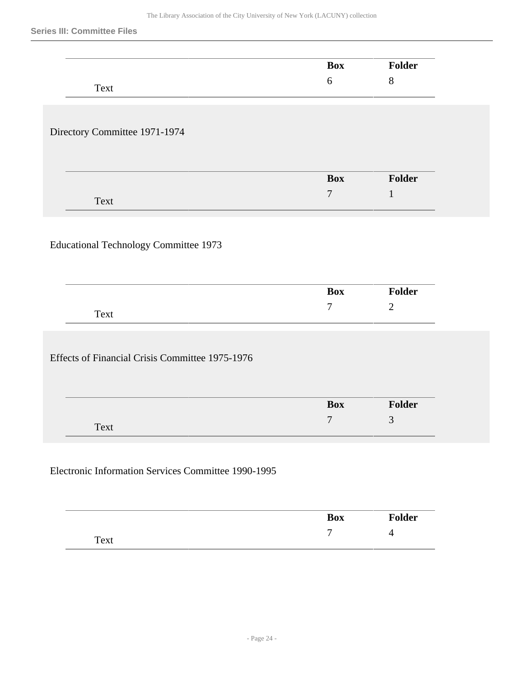|                                                 | <b>Box</b>                     | <b>Folder</b> |
|-------------------------------------------------|--------------------------------|---------------|
| Text                                            | $6\,$                          | $8\,$         |
|                                                 |                                |               |
| Directory Committee 1971-1974                   |                                |               |
|                                                 |                                |               |
|                                                 | <b>Box</b>                     | Folder        |
| Text                                            | $\tau$                         | $\mathbf{1}$  |
|                                                 |                                |               |
|                                                 |                                |               |
| <b>Educational Technology Committee 1973</b>    |                                |               |
|                                                 |                                |               |
|                                                 | <b>Box</b>                     | Folder        |
| Text                                            | $\tau$                         | $\mathbf{2}$  |
|                                                 |                                |               |
|                                                 |                                |               |
| Effects of Financial Crisis Committee 1975-1976 |                                |               |
|                                                 |                                |               |
|                                                 | <b>Box</b><br>$\boldsymbol{7}$ | Folder<br>3   |

|      | <b>Box</b> | $\sqrt[4]{\text{older}}$ |
|------|------------|--------------------------|
| Text | -          | .                        |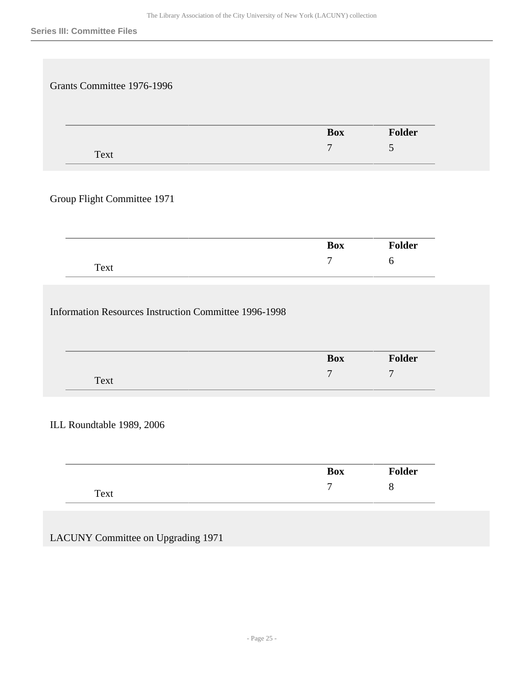|                             | <b>Box</b> | Folder |
|-----------------------------|------------|--------|
| Text                        | $\tau$     | 5      |
| Group Flight Committee 1971 |            |        |
|                             | Box        | Folder |

|      | $\mathbf{p}_{\alpha x}$<br>UЛ | $L_{\rm dom}$<br>w |
|------|-------------------------------|--------------------|
| Text | -                             | $\overline{ }$     |

ILL Roundtable 1989, 2006

| ____ | <b>Box</b>     | <b>Folder</b> |
|------|----------------|---------------|
| Text | $\overline{ }$ | U             |

LACUNY Committee on Upgrading 1971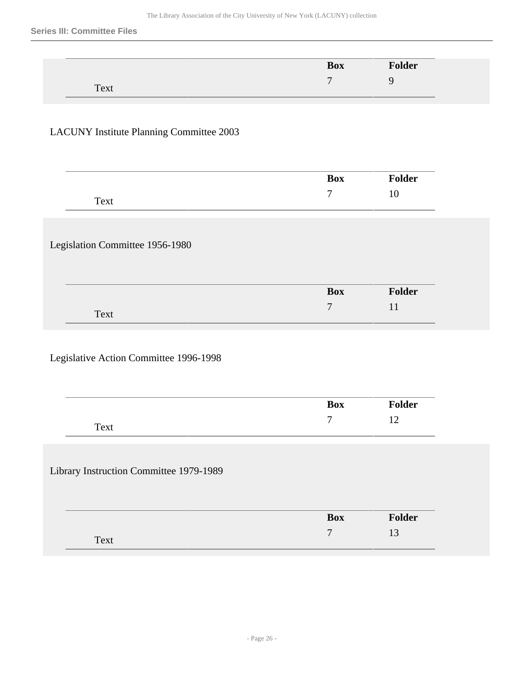|      |   | <b>Box</b> | <b>Folder</b> |
|------|---|------------|---------------|
| Text | − |            |               |

## LACUNY Institute Planning Committee 2003

|                                         | <b>Box</b>           | Folder       |
|-----------------------------------------|----------------------|--------------|
| Text                                    | $\boldsymbol{7}$     | $10\,$       |
| Legislation Committee 1956-1980         |                      |              |
|                                         |                      |              |
|                                         | <b>Box</b>           | Folder       |
| Text                                    | $\overline{7}$       | 11           |
|                                         |                      |              |
| Legislative Action Committee 1996-1998  |                      |              |
|                                         | <b>Box</b><br>$\tau$ | Folder<br>12 |
| Text                                    |                      |              |
|                                         |                      |              |
| Library Instruction Committee 1979-1989 |                      |              |
|                                         | <b>Box</b>           | Folder       |
| Text                                    | $\overline{7}$       | 13           |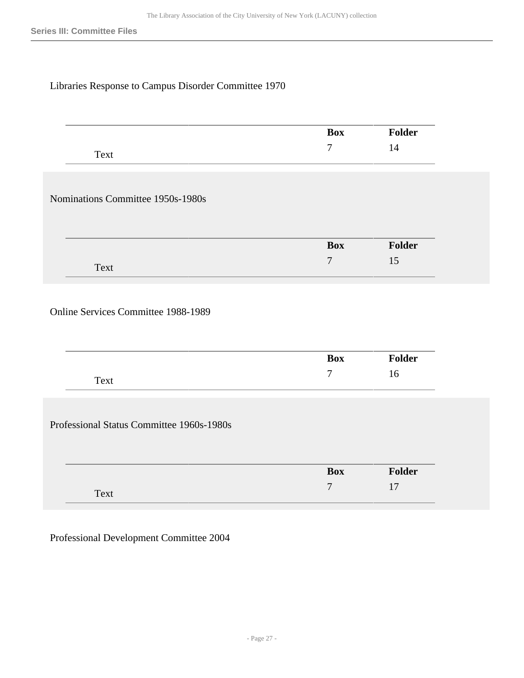## Libraries Response to Campus Disorder Committee 1970

|                                     | <b>Box</b>     | <b>Folder</b> |
|-------------------------------------|----------------|---------------|
| Text                                | $\tau$         | 14            |
|                                     |                |               |
| Nominations Committee 1950s-1980s   |                |               |
|                                     |                |               |
|                                     | <b>Box</b>     | Folder        |
| Text                                | $\overline{7}$ | 15            |
|                                     |                |               |
|                                     |                |               |
|                                     |                |               |
| Online Services Committee 1988-1989 |                |               |
|                                     |                |               |
|                                     | <b>Box</b>     | Folder        |

Professional Status Committee 1960s-1980s

| ____ | <b>Box</b>               | Folder |
|------|--------------------------|--------|
| Text | $\overline{\phantom{0}}$ |        |

Professional Development Committee 2004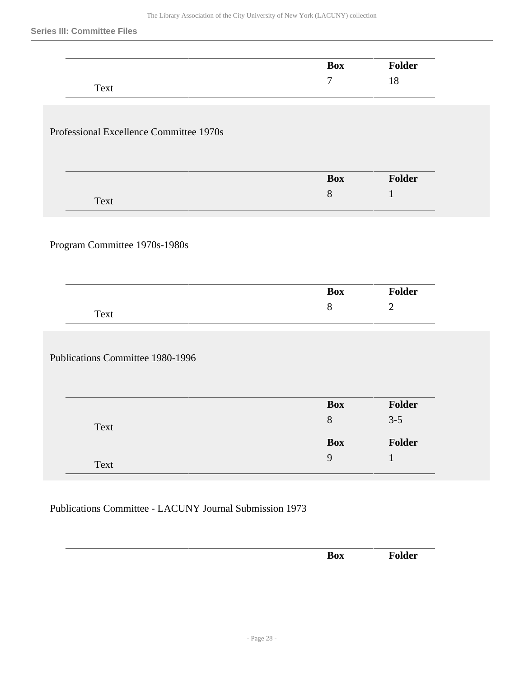|                                         | <b>Box</b>          | Folder            |
|-----------------------------------------|---------------------|-------------------|
| Text                                    | $\tau$              | 18                |
|                                         |                     |                   |
| Professional Excellence Committee 1970s |                     |                   |
|                                         |                     |                   |
|                                         | <b>Box</b>          | Folder            |
| Text                                    | 8                   | $\mathbf{1}$      |
|                                         |                     |                   |
|                                         |                     |                   |
|                                         |                     |                   |
| Program Committee 1970s-1980s           |                     |                   |
|                                         |                     |                   |
|                                         | <b>Box</b>          | Folder            |
| Text                                    | $8\,$               | $\mathbf{2}$      |
|                                         |                     |                   |
| Publications Committee 1980-1996        |                     |                   |
|                                         |                     |                   |
|                                         |                     |                   |
|                                         | <b>Box</b><br>$8\,$ | Folder<br>$3 - 5$ |
| Text                                    | <b>Box</b>          | Folder            |

## Publications Committee - LACUNY Journal Submission 1973

| ___ |                                      |  |
|-----|--------------------------------------|--|
|     | n<br>$\mathbf{A}$<br>$- \nu \Lambda$ |  |
|     |                                      |  |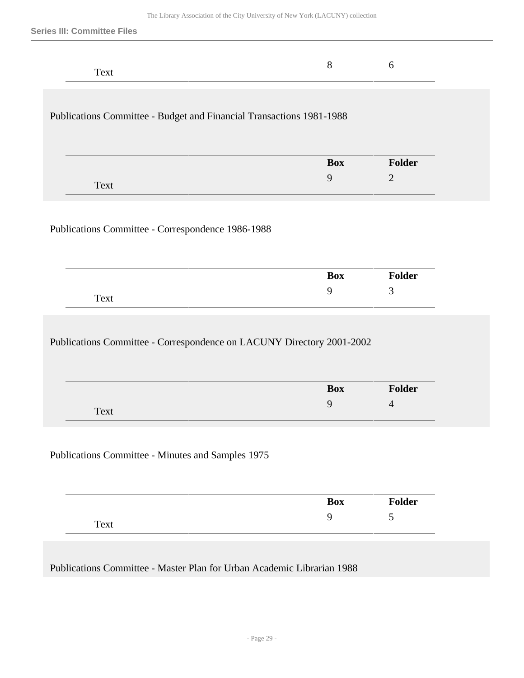## Publications Committee - Budget and Financial Transactions 1981-1988

|      | <b>Box</b> | <b>Folder</b> |
|------|------------|---------------|
| Text |            | -             |
|      |            |               |

#### Publications Committee - Correspondence 1986-1988

|      | <b>Box</b> | <b>Folder</b> |
|------|------------|---------------|
| Text |            | <u>ب</u>      |

## Publications Committee - Correspondence on LACUNY Directory 2001-2002

|      | <b>Box</b> | <b>Folder</b> |
|------|------------|---------------|
| Text |            | 4             |

#### Publications Committee - Minutes and Samples 1975

|      | <b>Box</b> | <b>Folder</b> |
|------|------------|---------------|
| Text |            | ັ             |

Publications Committee - Master Plan for Urban Academic Librarian 1988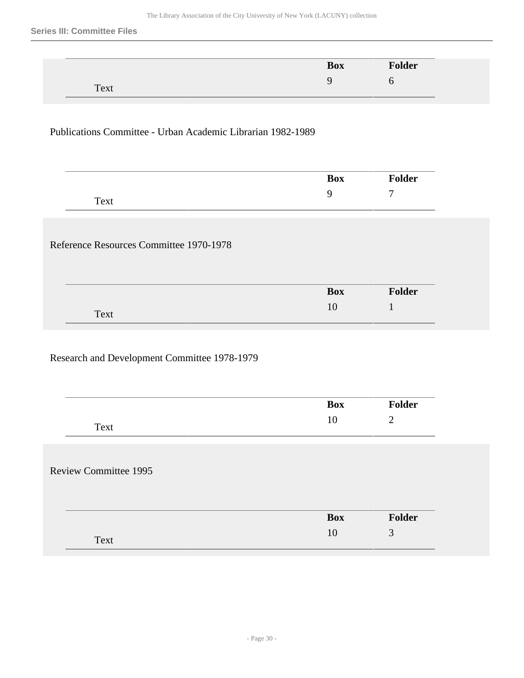|      | <b>Box</b> | Folder |
|------|------------|--------|
|      |            |        |
| Text |            |        |

## Publications Committee - Urban Academic Librarian 1982-1989

|                | $\mathbf{w}$ | . .<br>$\sim$<br>lеr |
|----------------|--------------|----------------------|
| $T_{\rm{ext}}$ | ∼            | -                    |

## Reference Resources Committee 1970-1978

#### Research and Development Committee 1978-1979

|                              | <b>Box</b> | Folder         |
|------------------------------|------------|----------------|
| Text                         | 10         | $\overline{2}$ |
|                              |            |                |
|                              |            |                |
| <b>Review Committee 1995</b> |            |                |
|                              |            |                |
|                              |            |                |
|                              | <b>Box</b> | Folder         |
| Text                         | 10         | 3              |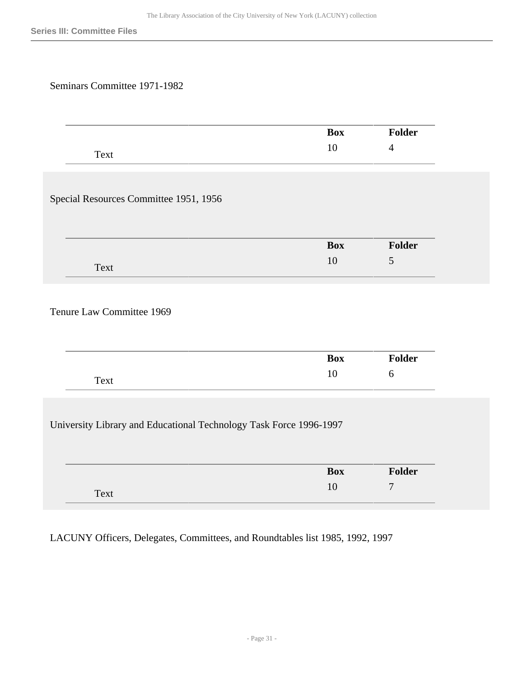## Seminars Committee 1971-1982

|                                                                    | <b>Box</b> | Folder           |
|--------------------------------------------------------------------|------------|------------------|
| Text                                                               | $10\,$     | $\overline{4}$   |
|                                                                    |            |                  |
| Special Resources Committee 1951, 1956                             |            |                  |
|                                                                    | <b>Box</b> | Folder           |
| Text                                                               | 10         | 5                |
| Tenure Law Committee 1969                                          | <b>Box</b> | Folder           |
| Text                                                               | 10         | 6                |
| University Library and Educational Technology Task Force 1996-1997 |            |                  |
|                                                                    | <b>Box</b> | Folder           |
| Text                                                               | 10         | $\boldsymbol{7}$ |
|                                                                    |            |                  |

LACUNY Officers, Delegates, Committees, and Roundtables list 1985, 1992, 1997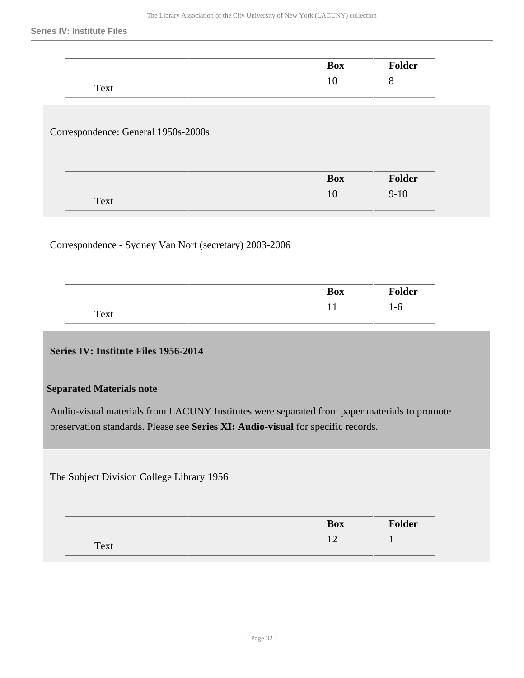| Text                                |                  | <b>Folder</b>          |
|-------------------------------------|------------------|------------------------|
|                                     | 10               | 8                      |
|                                     |                  |                        |
| Correspondence: General 1950s-2000s |                  |                        |
|                                     | <b>Box</b>       | Folder                 |
| Text                                | 10               | $9 - 10$               |
|                                     |                  |                        |
|                                     | <b>Box</b><br>11 | <b>Folder</b><br>$1-6$ |
| Text                                |                  |                        |

<span id="page-31-0"></span>The Subject Division College Library 1956

| ------- | <b>Box</b> | <b>Folder</b> |
|---------|------------|---------------|
| Text    |            |               |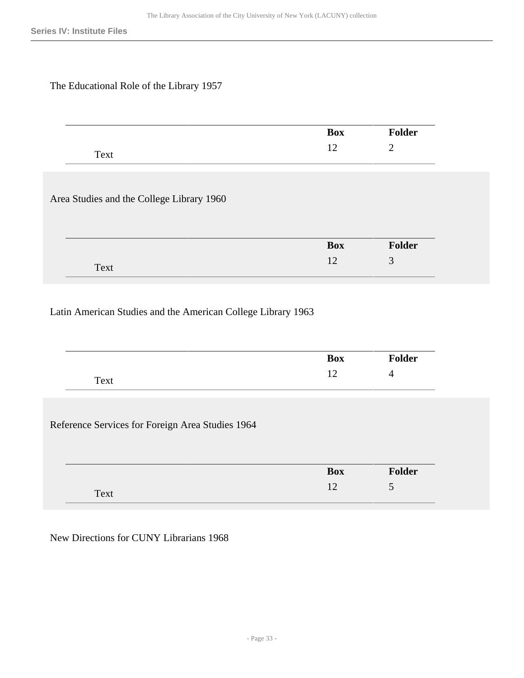## The Educational Role of the Library 1957

Text

|                                           | Box | <b>Folder</b> |
|-------------------------------------------|-----|---------------|
| Text                                      | 12  | 2             |
| Area Studies and the College Library 1960 |     |               |
|                                           |     |               |
|                                           |     |               |
|                                           | Box | Folder        |

## Latin American Studies and the American College Library 1963

|                                                  | <b>Box</b> | Folder         |
|--------------------------------------------------|------------|----------------|
| Text                                             | 12         | $\overline{4}$ |
|                                                  |            |                |
|                                                  |            |                |
|                                                  |            |                |
| Reference Services for Foreign Area Studies 1964 |            |                |
|                                                  |            |                |
|                                                  | <b>Box</b> | Folder         |

New Directions for CUNY Librarians 1968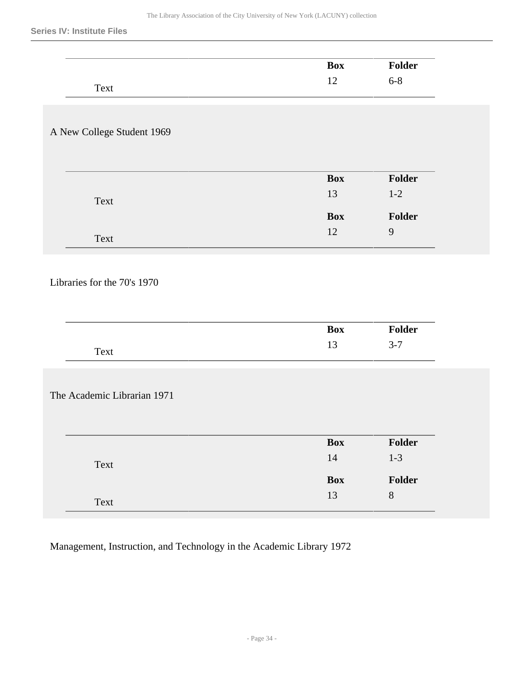|                                                            | <b>Box</b>       | Folder                   |
|------------------------------------------------------------|------------------|--------------------------|
| Text                                                       | 12               | $6 - 8$                  |
|                                                            |                  |                          |
|                                                            |                  |                          |
| A New College Student 1969                                 |                  |                          |
|                                                            |                  |                          |
|                                                            | <b>Box</b>       | Folder                   |
|                                                            | 13               | $1-2$                    |
| Text                                                       |                  |                          |
|                                                            | <b>Box</b><br>12 | Folder<br>$\overline{9}$ |
| Text                                                       |                  |                          |
|                                                            |                  |                          |
|                                                            | <b>Box</b>       | Folder                   |
| Text                                                       | 13               | $3 - 7$                  |
|                                                            |                  |                          |
|                                                            |                  |                          |
|                                                            |                  |                          |
|                                                            |                  |                          |
|                                                            |                  |                          |
|                                                            | <b>Box</b>       | Folder                   |
| Text                                                       | $14\,$           | $1-3$                    |
| Libraries for the 70's 1970<br>The Academic Librarian 1971 | Box<br>$13\,$    | Folder<br>$8\,$          |

Management, Instruction, and Technology in the Academic Library 1972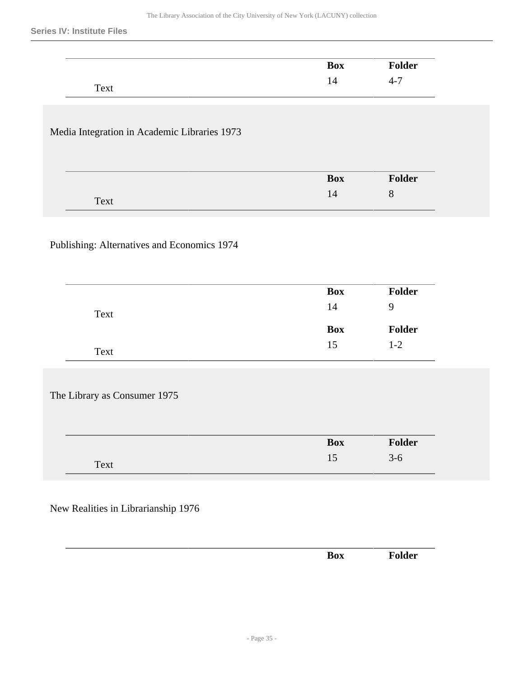|                                              | <b>Box</b> | Folder         |
|----------------------------------------------|------------|----------------|
| Text                                         | $14\,$     | $4 - 7$        |
|                                              |            |                |
| Media Integration in Academic Libraries 1973 |            |                |
|                                              |            |                |
|                                              |            |                |
|                                              | <b>Box</b> | Folder         |
| Text                                         | $14\,$     | 8              |
|                                              |            |                |
| Publishing: Alternatives and Economics 1974  |            |                |
|                                              |            |                |
|                                              |            |                |
|                                              | <b>Box</b> | Folder         |
| Text                                         | $14\,$     | $\overline{9}$ |
|                                              | <b>Box</b> | Folder         |
| Text                                         | 15         | $1-2$          |
|                                              |            |                |
|                                              |            |                |
| The Library as Consumer 1975                 |            |                |
|                                              |            |                |
|                                              |            | Folder         |
|                                              | Box        |                |
| Text                                         | $15\,$     | $3-6$          |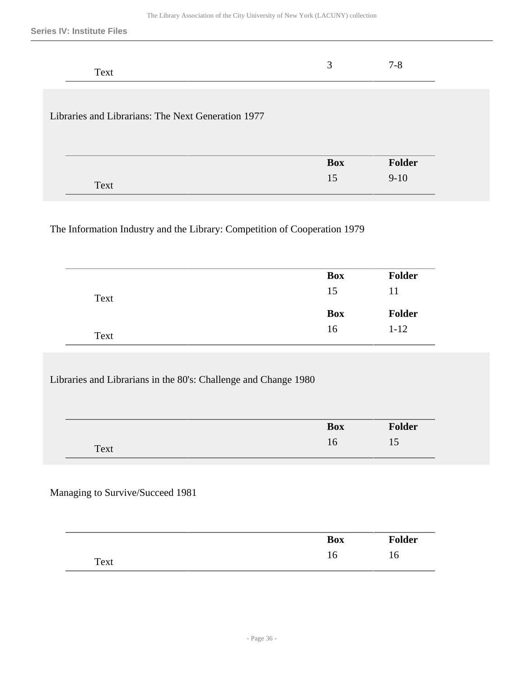| Text                                               | 3          | $7 - 8$ |
|----------------------------------------------------|------------|---------|
| Libraries and Librarians: The Next Generation 1977 |            |         |
|                                                    | <b>Box</b> | Folder  |
| Text                                               | 15         | $9-10$  |

The Information Industry and the Library: Competition of Cooperation 1979

|      | <b>Box</b> | <b>Folder</b> |
|------|------------|---------------|
| Text | 15         | 11            |
|      |            |               |
|      | <b>Box</b> | <b>Folder</b> |

Libraries and Librarians in the 80's: Challenge and Change 1980

| _    | <b>Box</b> | <b>Folder</b> |
|------|------------|---------------|
| Text | 16         | ⊥ັ            |

## Managing to Survive/Succeed 1981

|      | <b>Box</b> | <b>Folder</b> |
|------|------------|---------------|
| Text | 16         | 16            |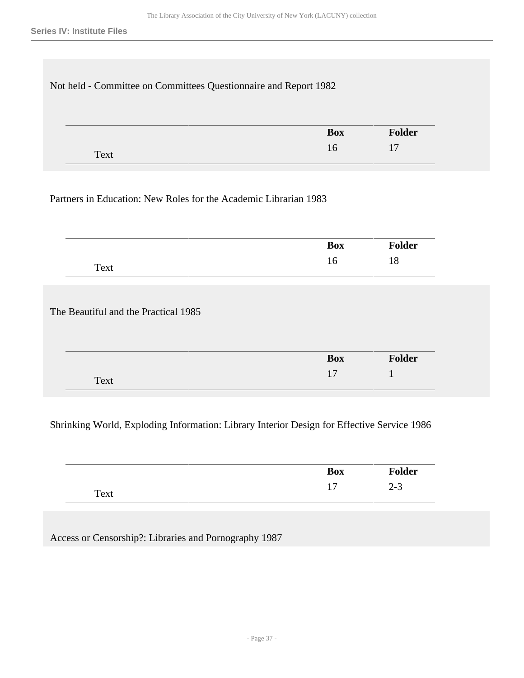| Not held - Committee on Committees Questionnaire and Report 1982 |            |        |
|------------------------------------------------------------------|------------|--------|
|                                                                  | <b>Box</b> | Folder |
| Text                                                             | 16         | 17     |

## Partners in Education: New Roles for the Academic Librarian 1983

|                                      | <b>Box</b> | <b>Folder</b> |
|--------------------------------------|------------|---------------|
| Text                                 | 16         | 18            |
|                                      |            |               |
|                                      |            |               |
|                                      |            |               |
| The Beautiful and the Practical 1985 |            |               |
|                                      |            |               |
|                                      | <b>Box</b> | Folder        |

## Shrinking World, Exploding Information: Library Interior Design for Effective Service 1986

|      | <b>Box</b>     | <b>Folder</b> |
|------|----------------|---------------|
| Text | $\overline{ }$ | 2-J           |

Access or Censorship?: Libraries and Pornography 1987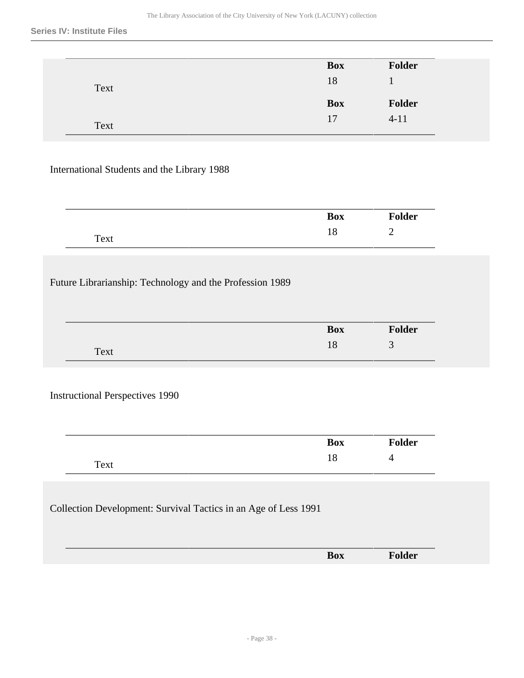#### **Series IV: Institute Files**

|      | <b>Box</b> | Folder        |
|------|------------|---------------|
| Text | 18         |               |
|      |            |               |
|      | <b>Box</b> | <b>Folder</b> |

## International Students and the Library 1988

|      | <b>Box</b> | <b>Folder</b> |
|------|------------|---------------|
| Text | ⊥∪         |               |

## Future Librarianship: Technology and the Profession 1989

|      | <b>Box</b> | <b>Folder</b> |
|------|------------|---------------|
| Text |            | ╭<br>ັ        |

### Instructional Perspectives 1990

|      | <b>Box</b> | <b>Folder</b> |
|------|------------|---------------|
| Text | 10         |               |

## Collection Development: Survival Tactics in an Age of Less 1991

| ___ |            |  |
|-----|------------|--|
|     | <b>Box</b> |  |
|     |            |  |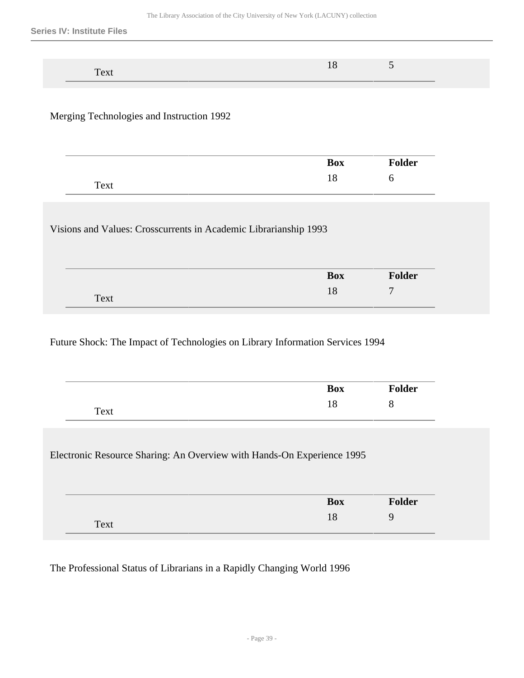Merging Technologies and Instruction 1992

|      | <b>Box</b> | Folder |  |
|------|------------|--------|--|
| Text | 10         | U      |  |

Visions and Values: Crosscurrents in Academic Librarianship 1993

|      | <b>Box</b> | <b>Folder</b> |
|------|------------|---------------|
| Text |            | <b>F</b>      |

Future Shock: The Impact of Technologies on Library Information Services 1994

| 18<br>8<br>Text<br>Electronic Resource Sharing: An Overview with Hands-On Experience 1995<br><b>Folder</b><br><b>Box</b><br>18 | <b>Box</b> | <b>Folder</b> |
|--------------------------------------------------------------------------------------------------------------------------------|------------|---------------|
|                                                                                                                                |            |               |
|                                                                                                                                |            |               |
|                                                                                                                                |            |               |
|                                                                                                                                |            |               |
|                                                                                                                                |            |               |
|                                                                                                                                |            |               |

The Professional Status of Librarians in a Rapidly Changing World 1996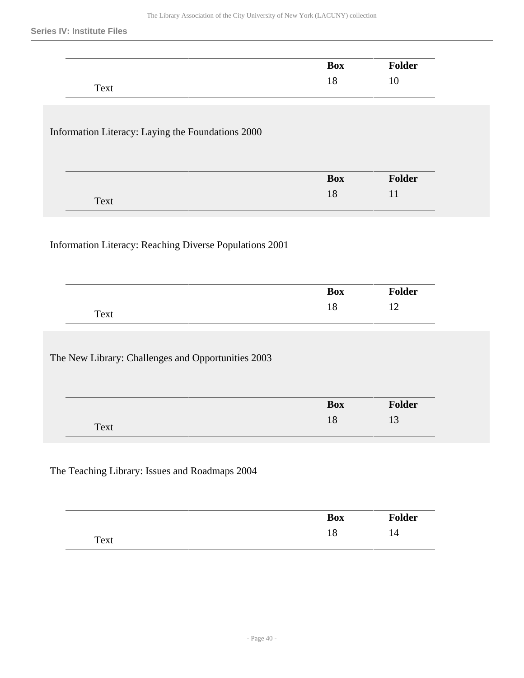#### **Series IV: Institute Files**

|                                                         | <b>Box</b> | <b>Folder</b> |
|---------------------------------------------------------|------------|---------------|
| Text                                                    | $18\,$     | $10\,$        |
|                                                         |            |               |
| Information Literacy: Laying the Foundations 2000       |            |               |
|                                                         | <b>Box</b> | Folder        |
| Text                                                    | 18         | 11            |
|                                                         |            |               |
| Information Literacy: Reaching Diverse Populations 2001 |            |               |
|                                                         | <b>Box</b> | Folder        |
| Text                                                    | 18         | 12            |
|                                                         |            |               |
| The New Library: Challenges and Opportunities 2003      |            |               |
|                                                         | <b>Box</b> | Folder        |

|      | <b>Box</b> | <b>Folder</b> |
|------|------------|---------------|
| Text | 10         | 14            |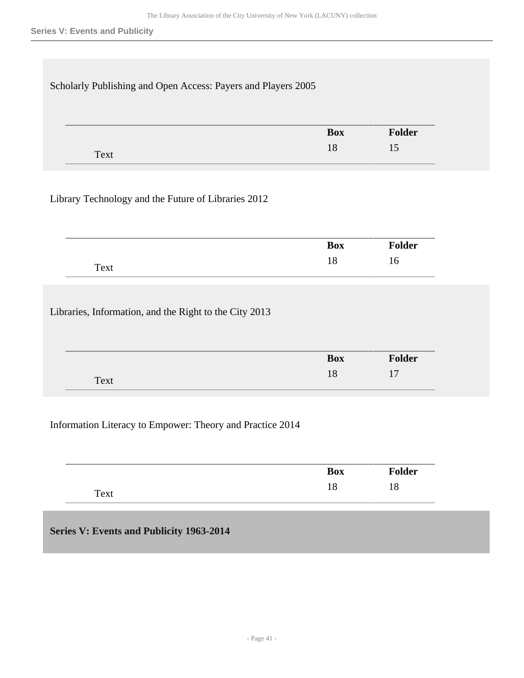| Scholarly Publishing and Open Access: Payers and Players 2005 |                  |               |
|---------------------------------------------------------------|------------------|---------------|
|                                                               | <b>Box</b><br>18 | Folder<br>15  |
| Text                                                          |                  |               |
| Library Technology and the Future of Libraries 2012           |                  |               |
|                                                               | <b>Box</b>       | <b>Folder</b> |
|                                                               |                  |               |

Libraries, Information, and the Right to the City 2013

| _____ |            |                           |
|-------|------------|---------------------------|
|       | <b>Box</b> | <b>Folder</b>             |
| Text  | 18         | $\overline{1}$<br>$\pm t$ |
|       |            |                           |

### Information Literacy to Empower: Theory and Practice 2014

| ____ | <b>Box</b> | <b>Folder</b>       |
|------|------------|---------------------|
| Text | 10         | $\Omega$<br>$\circ$ |

## **Series V: Events and Publicity 1963-2014**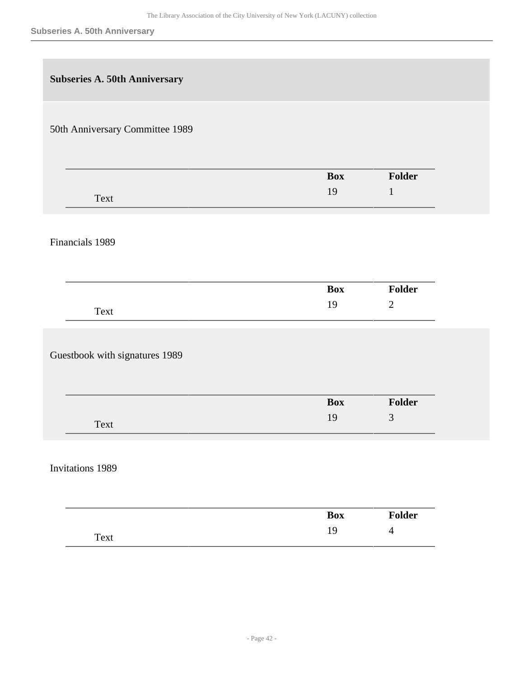| <b>Subseries A. 50th Anniversary</b> |            |                |
|--------------------------------------|------------|----------------|
| 50th Anniversary Committee 1989      |            |                |
|                                      | <b>Box</b> | Folder         |
| Text                                 | 19         | $\mathbf{1}$   |
| Financials 1989                      |            |                |
|                                      | <b>Box</b> | Folder         |
| Text                                 | 19         | $\mathbf{2}$   |
| Guestbook with signatures 1989       |            |                |
|                                      | <b>Box</b> | Folder         |
| Text                                 | 19         | $\mathfrak{Z}$ |
| <b>Invitations 1989</b>              |            |                |
|                                      | <b>Box</b> | Folder         |
| Text                                 | 19         | $\overline{4}$ |
|                                      |            |                |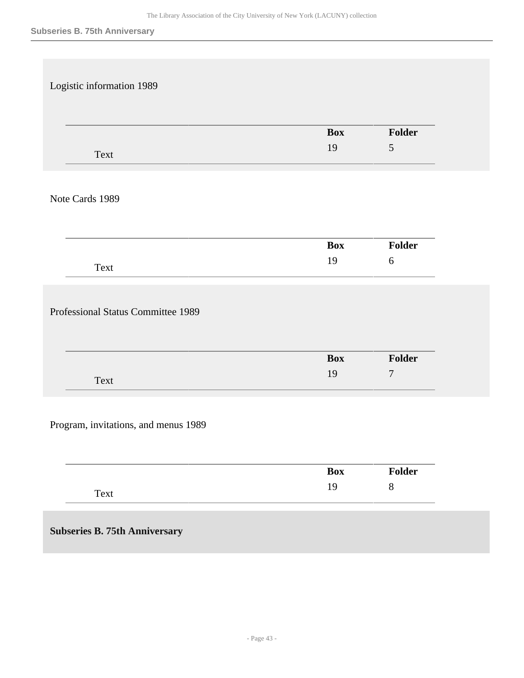| Logistic information 1989            |            |                  |
|--------------------------------------|------------|------------------|
|                                      |            |                  |
|                                      |            |                  |
|                                      | <b>Box</b> | Folder           |
|                                      | 19         | 5                |
| Text                                 |            |                  |
|                                      |            |                  |
| Note Cards 1989                      |            |                  |
|                                      |            |                  |
|                                      |            |                  |
|                                      | <b>Box</b> | Folder           |
|                                      | 19         | $\boldsymbol{6}$ |
| Text                                 |            |                  |
|                                      |            |                  |
| Professional Status Committee 1989   |            |                  |
|                                      |            |                  |
|                                      |            |                  |
|                                      | <b>Box</b> | Folder           |
| Text                                 | 19         | $\overline{7}$   |
|                                      |            |                  |
|                                      |            |                  |
| Program, invitations, and menus 1989 |            |                  |
|                                      |            |                  |
|                                      |            |                  |
|                                      | <b>Box</b> | Folder           |

| <b>Subseries B. 75th Anniversary</b> |  |
|--------------------------------------|--|

Text

19 8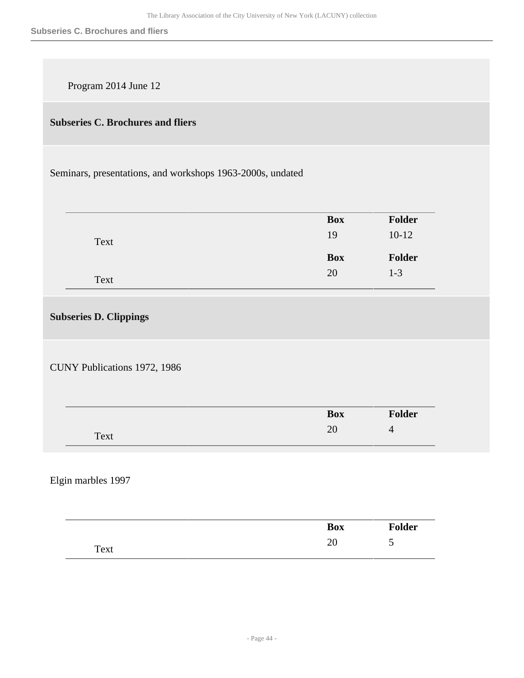Program 2014 June 12

## **Subseries C. Brochures and fliers**

Seminars, presentations, and workshops 1963-2000s, undated

|      | <b>Box</b> | Folder        |
|------|------------|---------------|
| Text | 19         | $10-12$       |
|      |            |               |
|      | <b>Box</b> | <b>Folder</b> |

**Subseries D. Clippings** 

CUNY Publications 1972, 1986

|      | <b>Box</b>    | Folder |
|------|---------------|--------|
| Text | ີ<br>$\omega$ | ┱      |

Elgin marbles 1997

| ____ | <b>Box</b> | Folder |
|------|------------|--------|
| Text | $\omega$   | ັ      |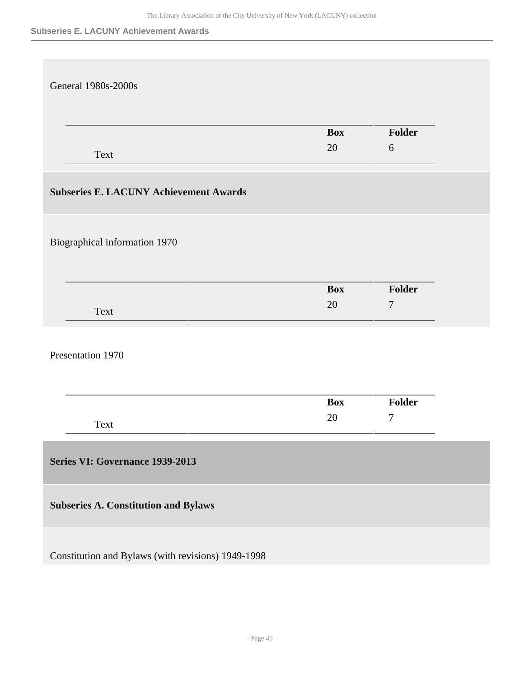#### **Subseries E. LACUNY Achievement Awards**

| <b>General 1980s-2000s</b>                         |            |                |
|----------------------------------------------------|------------|----------------|
|                                                    |            |                |
|                                                    |            |                |
|                                                    | <b>Box</b> | Folder         |
| Text                                               | 20         | $6\,$          |
|                                                    |            |                |
| <b>Subseries E. LACUNY Achievement Awards</b>      |            |                |
|                                                    |            |                |
|                                                    |            |                |
| Biographical information 1970                      |            |                |
|                                                    |            |                |
|                                                    |            |                |
|                                                    | <b>Box</b> | Folder         |
| Text                                               | 20         | $\overline{7}$ |
|                                                    |            |                |
|                                                    |            |                |
| Presentation 1970                                  |            |                |
|                                                    |            |                |
|                                                    | <b>Box</b> | Folder         |
| Text                                               | 20         | $\overline{7}$ |
|                                                    |            |                |
|                                                    |            |                |
| Series VI: Governance 1939-2013                    |            |                |
|                                                    |            |                |
| <b>Subseries A. Constitution and Bylaws</b>        |            |                |
|                                                    |            |                |
|                                                    |            |                |
| Constitution and Bylaws (with revisions) 1949-1998 |            |                |
|                                                    |            |                |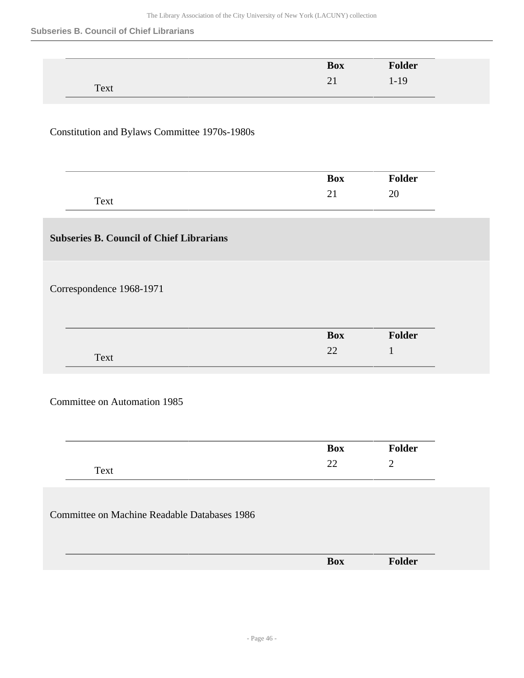#### **Subseries B. Council of Chief Librarians**

 $\overline{a}$ 

|                                                     | <b>Box</b> | Folder       |
|-----------------------------------------------------|------------|--------------|
| Text                                                | 21         | $1-19$       |
|                                                     |            |              |
|                                                     |            |              |
| Constitution and Bylaws Committee 1970s-1980s       |            |              |
|                                                     |            |              |
|                                                     |            |              |
|                                                     | <b>Box</b> | Folder       |
| Text                                                | 21         | 20           |
|                                                     |            |              |
| <b>Subseries B. Council of Chief Librarians</b>     |            |              |
|                                                     |            |              |
|                                                     |            |              |
| Correspondence 1968-1971                            |            |              |
|                                                     |            |              |
|                                                     |            |              |
|                                                     | <b>Box</b> | Folder       |
| Text                                                | $22\,$     | $\mathbf{1}$ |
|                                                     |            |              |
|                                                     |            |              |
| <b>Committee on Automation 1985</b>                 |            |              |
|                                                     |            |              |
|                                                     | <b>Box</b> | Folder       |
|                                                     | $22\,$     | $\mathbf{2}$ |
| Text                                                |            |              |
|                                                     |            |              |
| <b>Committee on Machine Readable Databases 1986</b> |            |              |
|                                                     |            |              |
|                                                     |            |              |
|                                                     | <b>Box</b> | Folder       |
|                                                     |            |              |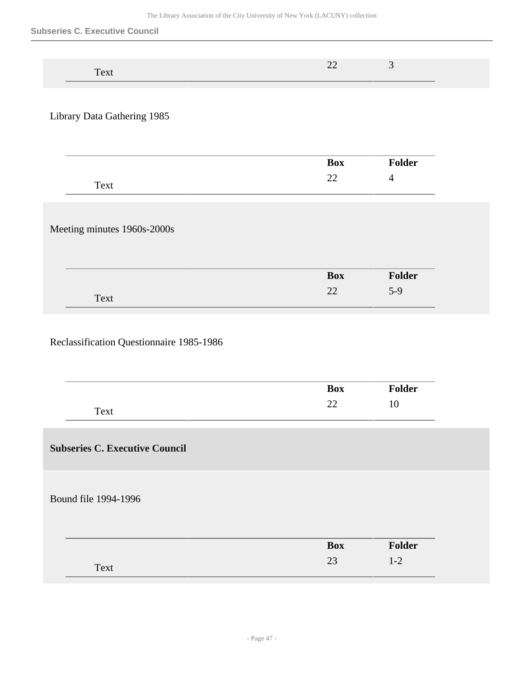#### **Subseries C. Executive Council**

| пm.<br>$\mathbf{1} \mathbf{A}$<br>$\mathbf{v}$ | -- |  |
|------------------------------------------------|----|--|

## Library Data Gathering 1985

|      | <b>Box</b> | <sup>7</sup> older |
|------|------------|--------------------|
| Text | ົ<br>∼     |                    |

## Meeting minutes 1960s-2000s

|      | <b>Box</b>   | Folder |
|------|--------------|--------|
| Text | $\cap$<br>∠∠ | $5-9$  |

## Reclassification Questionnaire 1985-1986

|                                       | Box        | Folder  |
|---------------------------------------|------------|---------|
| Text                                  | 22         | 10      |
| <b>Subseries C. Executive Council</b> |            |         |
| Bound file 1994-1996                  |            |         |
|                                       | <b>Box</b> | Folder  |
| Text                                  | 23         | $1 - 2$ |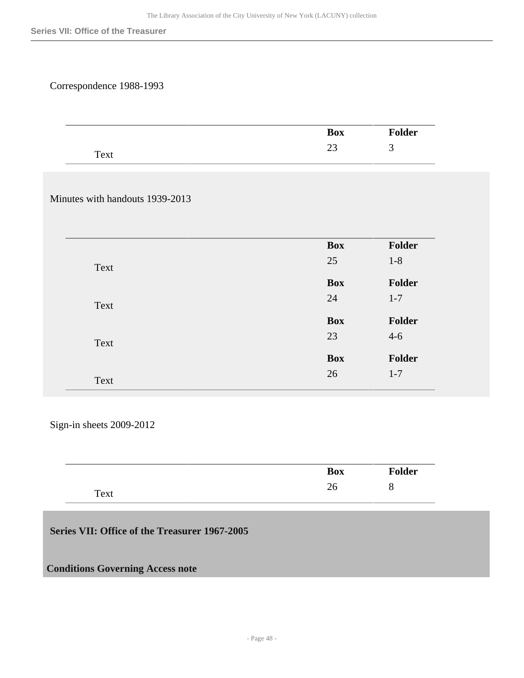## Correspondence 1988-1993

| ___                    | <b>Box</b> | . .<br>محملها<br>oiuer |
|------------------------|------------|------------------------|
| $T_{\rm AVI}$<br>1 CAL | ر_         | . .                    |

## Minutes with handouts 1939-2013

|      | <b>Box</b> | <b>Folder</b> |
|------|------------|---------------|
| Text | 25         | $1 - 8$       |
|      | <b>Box</b> | Folder        |
| Text | 24         | $1 - 7$       |
|      | <b>Box</b> | Folder        |
| Text | 23         | $4 - 6$       |
|      | <b>Box</b> | Folder        |
| Text | 26         | $1 - 7$       |

Sign-in sheets 2009-2012

|      | <b>Box</b> | <b>Folder</b> |
|------|------------|---------------|
| Text | ^`<br>26   | O             |

## **Series VII: Office of the Treasurer 1967-2005**

### **Conditions Governing Access note**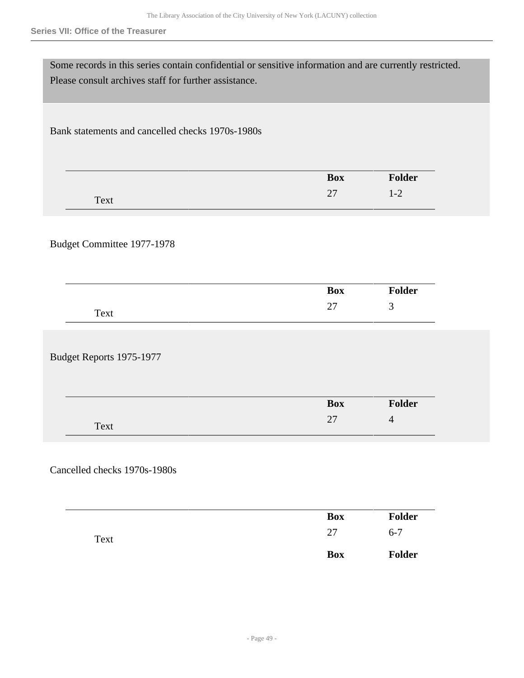#### **Series VII: Office of the Treasurer**

| Some records in this series contain confidential or sensitive information and are currently restricted.<br>Please consult archives staff for further assistance. |            |                |
|------------------------------------------------------------------------------------------------------------------------------------------------------------------|------------|----------------|
| Bank statements and cancelled checks 1970s-1980s                                                                                                                 |            |                |
|                                                                                                                                                                  | <b>Box</b> | Folder         |
| Text                                                                                                                                                             | 27         | $1 - 2$        |
| Budget Committee 1977-1978                                                                                                                                       |            |                |
|                                                                                                                                                                  | <b>Box</b> | <b>Folder</b>  |
| Text                                                                                                                                                             | 27         | 3              |
| Budget Reports 1975-1977                                                                                                                                         |            |                |
|                                                                                                                                                                  | <b>Box</b> | Folder         |
| Text                                                                                                                                                             | 27         | $\overline{4}$ |
| Cancelled checks 1970s-1980s                                                                                                                                     |            |                |
|                                                                                                                                                                  | <b>Box</b> | Folder         |
| Text                                                                                                                                                             | $27\,$     | $6 - 7$        |

**Box Folder**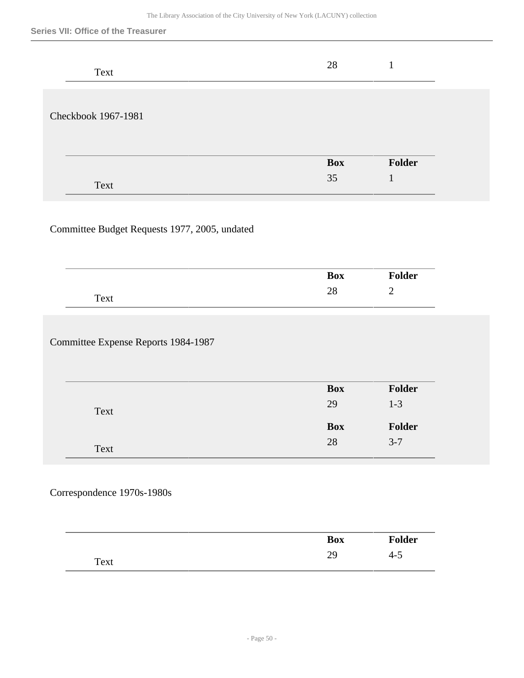#### **Series VII: Office of the Treasurer**

| Text                | 28         |        |
|---------------------|------------|--------|
| Checkbook 1967-1981 |            |        |
|                     | <b>Box</b> | Folder |
| Text                | 35         |        |

## Committee Budget Requests 1977, 2005, undated

|             | <b>Box</b> | <b>Folder</b> |
|-------------|------------|---------------|
| <b>Text</b> | ∠∪         |               |

## Committee Expense Reports 1984-1987

|      | <b>Box</b> | <b>Folder</b> |
|------|------------|---------------|
| Text | 29         | $1 - 3$       |
|      | <b>Box</b> | <b>Folder</b> |
|      |            |               |

## Correspondence 1970s-1980s

|      | <b>Box</b> | <b>Folder</b> |
|------|------------|---------------|
| Text | ററ<br>ر ب  | $-4-5$        |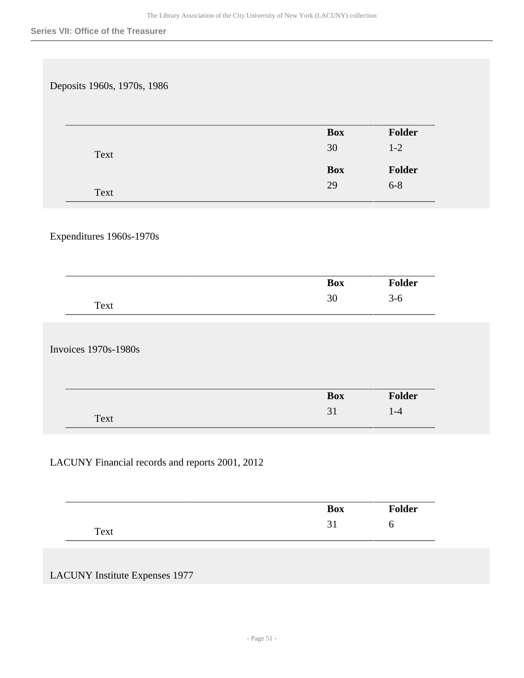| Deposits 1960s, 1970s, 1986                     |            |            |
|-------------------------------------------------|------------|------------|
|                                                 |            |            |
|                                                 | <b>Box</b> | Folder     |
| Text                                            | 30         | $1-2$      |
|                                                 | <b>Box</b> | Folder     |
| Text                                            | 29         | $6 - 8$    |
|                                                 |            |            |
|                                                 |            |            |
| Expenditures 1960s-1970s                        |            |            |
|                                                 |            |            |
|                                                 | <b>Box</b> | Folder     |
| Text                                            | $30\,$     | $3-6$      |
|                                                 |            |            |
| <b>Invoices 1970s-1980s</b>                     |            |            |
|                                                 |            |            |
|                                                 |            |            |
|                                                 | <b>Box</b> | Folder     |
| Text                                            | 31         | $1-4$      |
|                                                 |            |            |
| LACUNY Financial records and reports 2001, 2012 |            |            |
|                                                 |            |            |
|                                                 |            |            |
|                                                 | Box        | Folder     |
| Text                                            | 31         | $\sqrt{6}$ |

## LACUNY Institute Expenses 1977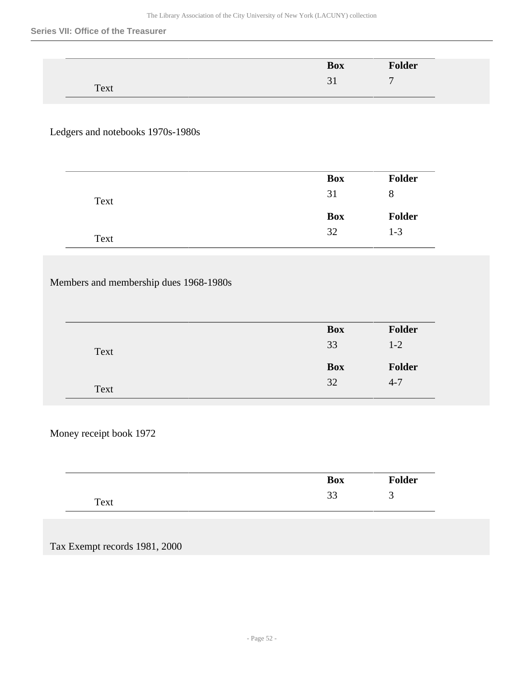#### **Series VII: Office of the Treasurer**

|              |          | <b>Box</b>    | <b>Folder</b> |
|--------------|----------|---------------|---------------|
|              |          | $\sim$<br>ر ب | $\mathbf{r}$  |
| Text<br>____ | __<br>__ |               |               |

## Ledgers and notebooks 1970s-1980s

|      | <b>Box</b> | <b>Folder</b> |
|------|------------|---------------|
| Text | 31         | 8             |
|      | <b>Box</b> | <b>Folder</b> |
|      |            |               |

# Members and membership dues 1968-1980s

|      | <b>Box</b> | <b>Folder</b> |
|------|------------|---------------|
| Text | 33         | $1 - 2$       |
|      | <b>Box</b> | <b>Folder</b> |
| Text | 32         | $4 - 7$       |

## Money receipt book 1972

|      | <b>Box</b>   | <b>Folder</b> |
|------|--------------|---------------|
| Text | $\sim$<br>IJ | ັ             |

#### Tax Exempt records 1981, 2000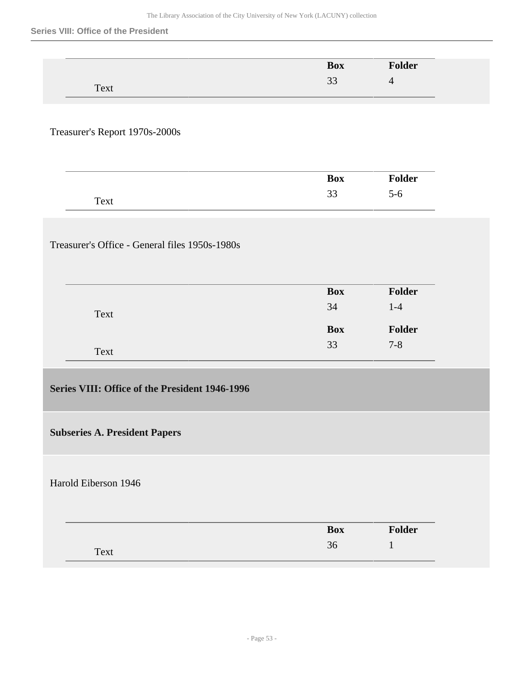#### **Series VIII: Office of the President**

|                                                | <b>Box</b>           | Folder         |  |
|------------------------------------------------|----------------------|----------------|--|
| Text                                           | 33                   | $\overline{4}$ |  |
|                                                |                      |                |  |
|                                                |                      |                |  |
| Treasurer's Report 1970s-2000s                 |                      |                |  |
|                                                |                      |                |  |
|                                                |                      |                |  |
|                                                | <b>Box</b>           | Folder         |  |
| Text                                           | 33                   | $5-6$          |  |
|                                                |                      |                |  |
|                                                |                      |                |  |
| Treasurer's Office - General files 1950s-1980s |                      |                |  |
|                                                |                      |                |  |
|                                                |                      |                |  |
|                                                | <b>Box</b>           | <b>Folder</b>  |  |
| Text                                           | 34                   | $1-4$          |  |
|                                                | <b>Box</b>           | Folder         |  |
|                                                | 33                   | $7 - 8$        |  |
| Text                                           |                      |                |  |
|                                                |                      |                |  |
| Series VIII: Office of the President 1946-1996 |                      |                |  |
|                                                |                      |                |  |
|                                                |                      |                |  |
| <b>Subseries A. President Papers</b>           |                      |                |  |
|                                                |                      |                |  |
|                                                |                      |                |  |
| Harold Eiberson 1946                           |                      |                |  |
|                                                |                      |                |  |
|                                                |                      | Folder         |  |
|                                                | <b>Box</b><br>$36\,$ | $\mathbf 1$    |  |
| Text                                           |                      |                |  |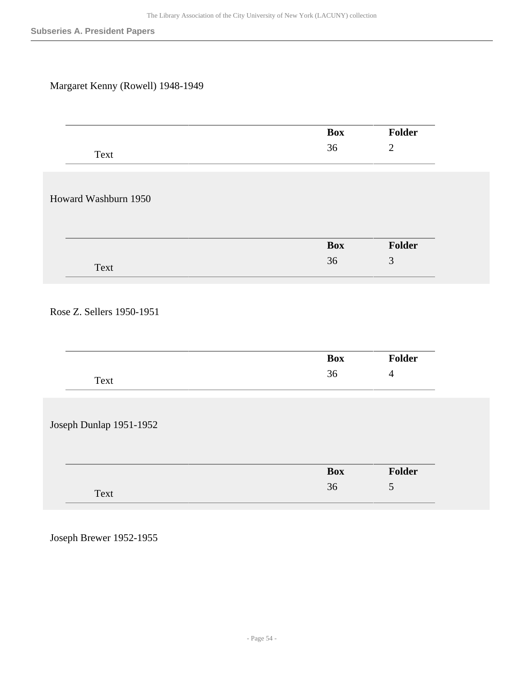# Margaret Kenny (Rowell) 1948-1949

|                           | <b>Box</b> | Folder         |
|---------------------------|------------|----------------|
| Text                      | 36         | $\sqrt{2}$     |
|                           |            |                |
|                           |            |                |
| Howard Washburn 1950      |            |                |
|                           |            |                |
|                           |            |                |
|                           | <b>Box</b> | Folder         |
|                           | 36         | $\mathfrak{Z}$ |
| Text                      |            |                |
|                           |            |                |
| Rose Z. Sellers 1950-1951 |            |                |
|                           |            |                |
|                           |            |                |
|                           | <b>Box</b> | Folder         |
|                           | 36         | $\overline{4}$ |
| Text                      |            |                |
|                           |            |                |
|                           |            |                |
| Joseph Dunlap 1951-1952   |            |                |
|                           |            |                |
|                           | <b>Box</b> | Folder         |
|                           | 36         | 5              |
| Text                      |            |                |
|                           |            |                |

Joseph Brewer 1952-1955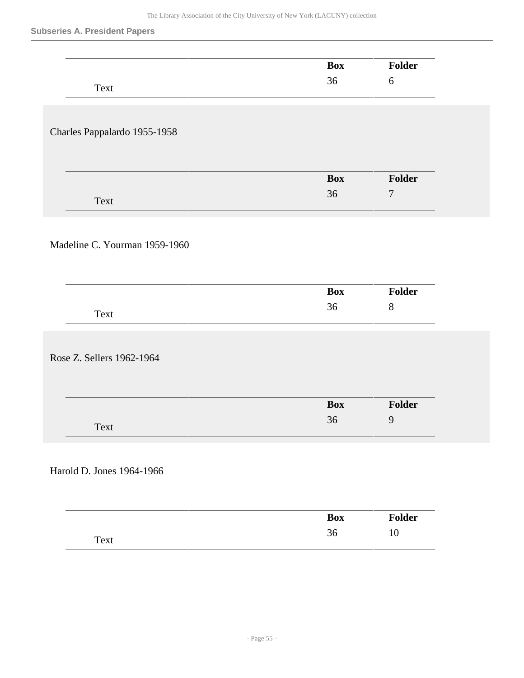#### **Subseries A. President Papers**

|                               | <b>Box</b> | Folder         |
|-------------------------------|------------|----------------|
| Text                          | 36         | $6\,$          |
|                               |            |                |
|                               |            |                |
| Charles Pappalardo 1955-1958  |            |                |
|                               |            |                |
|                               |            |                |
|                               | <b>Box</b> | Folder         |
|                               | 36         | $\overline{7}$ |
| Text                          |            |                |
|                               |            |                |
|                               |            |                |
| Madeline C. Yourman 1959-1960 |            |                |
|                               |            |                |
|                               |            |                |
|                               | <b>Box</b> | Folder         |
| Text                          | 36         | $8\,$          |
|                               |            |                |
|                               |            |                |
| Rose Z. Sellers 1962-1964     |            |                |
|                               |            |                |
|                               |            |                |
|                               | <b>Box</b> | Folder         |
|                               | 36         | 9              |
| Text                          |            |                |
|                               |            |                |
|                               |            |                |
| Harold D. Jones 1964-1966     |            |                |
|                               |            |                |
|                               |            |                |
|                               | Box        | Folder         |
| Text                          | $36\,$     | $10\,$         |
|                               |            |                |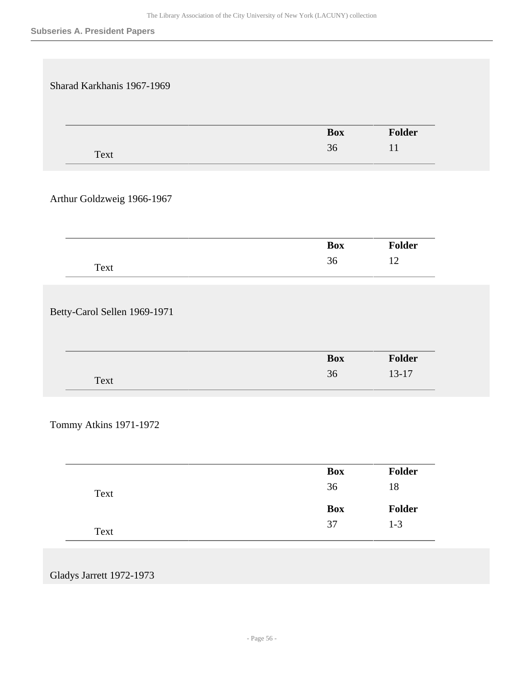| Sharad Karkhanis 1967-1969           |                      |                   |
|--------------------------------------|----------------------|-------------------|
|                                      | <b>Box</b>           | Folder            |
| Text                                 | 36                   | 11                |
| Arthur Goldzweig 1966-1967           |                      |                   |
|                                      | <b>Box</b>           | Folder            |
|                                      | 36                   | 12                |
| Text<br>Betty-Carol Sellen 1969-1971 |                      |                   |
|                                      | <b>Box</b><br>36     | Folder<br>$13-17$ |
| Text                                 |                      |                   |
| Tommy Atkins 1971-1972               | Box                  | Folder            |
| Text                                 | 36                   | $18\,$            |
| Text                                 | <b>Box</b><br>$37\,$ | Folder<br>$1 - 3$ |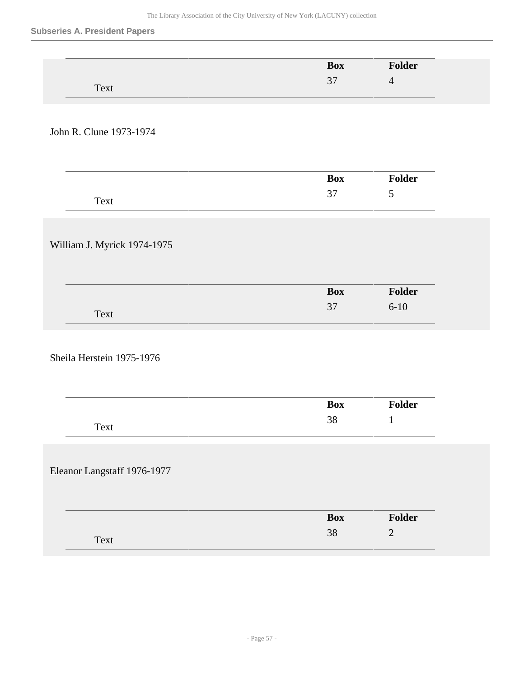### **Subseries A. President Papers**

|                             | <b>Box</b> | Folder         |
|-----------------------------|------------|----------------|
|                             | $37\,$     | $\overline{4}$ |
| Text                        |            |                |
|                             |            |                |
| John R. Clune 1973-1974     |            |                |
|                             |            |                |
|                             |            |                |
|                             | <b>Box</b> | Folder         |
|                             | $37\,$     | 5              |
| Text                        |            |                |
|                             |            |                |
|                             |            |                |
| William J. Myrick 1974-1975 |            |                |
|                             |            |                |
|                             |            |                |
|                             | <b>Box</b> | Folder         |
| Text                        | 37         | $6 - 10$       |
|                             |            |                |
|                             |            |                |
| Sheila Herstein 1975-1976   |            |                |
|                             |            |                |
|                             |            |                |
|                             | <b>Box</b> | Folder         |
| Text                        | $38\,$     | $\mathbf{1}$   |
|                             |            |                |
|                             |            |                |
| Eleanor Langstaff 1976-1977 |            |                |
|                             |            |                |
|                             |            |                |
|                             | <b>Box</b> | Folder         |
|                             | $38\,$     | $\sqrt{2}$     |
| Text                        |            |                |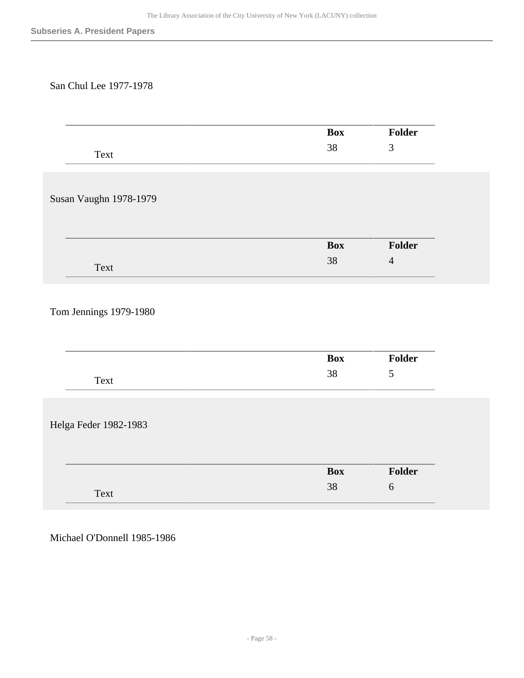### San Chul Lee 1977-1978

|                        | <b>Box</b> | Folder         |
|------------------------|------------|----------------|
| Text                   | 38         | 3              |
|                        |            |                |
|                        |            |                |
| Susan Vaughn 1978-1979 |            |                |
|                        |            |                |
|                        |            |                |
|                        |            |                |
|                        | <b>Box</b> | Folder         |
| Text                   | 38         | $\overline{4}$ |
|                        |            |                |
|                        |            |                |
| Tom Jennings 1979-1980 |            |                |
|                        |            |                |
|                        |            |                |
|                        | <b>Box</b> | Folder         |
|                        | 38         | 5              |
| Text                   |            |                |
|                        |            |                |
|                        |            |                |
| Helga Feder 1982-1983  |            |                |
|                        |            |                |
|                        |            |                |
|                        | <b>Box</b> | Folder         |
| Text                   | 38         | 6              |
|                        |            |                |

Michael O'Donnell 1985-1986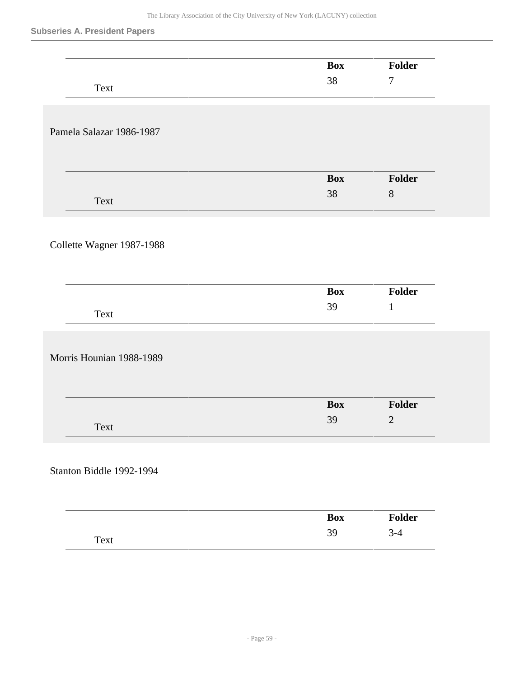### **Subseries A. President Papers**

|                           | <b>Box</b> | Folder           |
|---------------------------|------------|------------------|
| Text                      | $38\,$     | $\boldsymbol{7}$ |
|                           |            |                  |
|                           |            |                  |
| Pamela Salazar 1986-1987  |            |                  |
|                           |            |                  |
|                           | <b>Box</b> | Folder           |
|                           | 38         | $8\,$            |
| Text                      |            |                  |
|                           |            |                  |
| Collette Wagner 1987-1988 |            |                  |
|                           |            |                  |
|                           |            |                  |
|                           | Box        | Folder           |
| Text                      | 39         | $\mathbf{1}$     |
|                           |            |                  |
| Morris Hounian 1988-1989  |            |                  |
|                           |            |                  |
|                           |            |                  |
|                           | <b>Box</b> | Folder           |
| Text                      | 39         | $\sqrt{2}$       |
|                           |            |                  |
|                           |            |                  |
| Stanton Biddle 1992-1994  |            |                  |
|                           |            |                  |
|                           | Box        | Folder           |
|                           |            |                  |
|                           | 39         | $3-4$            |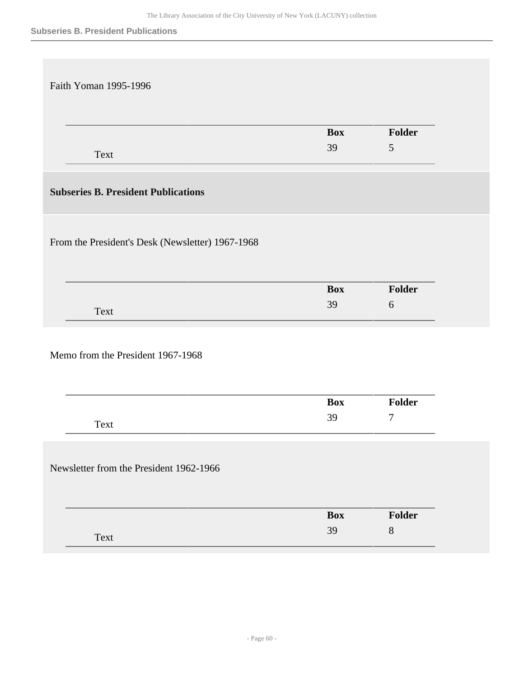| <b>Box</b>       | Folder               |
|------------------|----------------------|
| 39               | $\overline{5}$       |
|                  |                      |
|                  |                      |
|                  |                      |
|                  |                      |
|                  |                      |
|                  |                      |
|                  |                      |
|                  | Folder<br>$\sqrt{6}$ |
|                  |                      |
|                  |                      |
|                  |                      |
|                  |                      |
|                  |                      |
|                  |                      |
| <b>Box</b>       | Folder               |
| 39               | $\tau$               |
|                  |                      |
|                  |                      |
|                  |                      |
|                  |                      |
| <b>Box</b><br>39 | Folder<br>$8\,$      |
|                  | <b>Box</b><br>39     |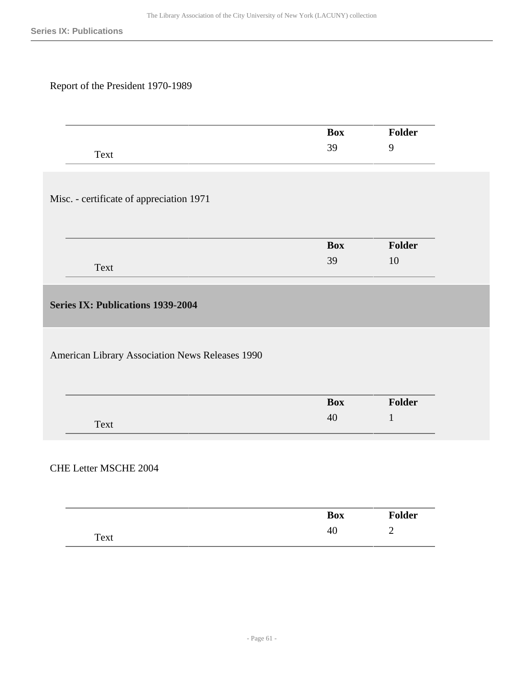## Report of the President 1970-1989

|                                                 | <b>Box</b> | Folder         |
|-------------------------------------------------|------------|----------------|
| Text                                            | 39         | 9              |
|                                                 |            |                |
|                                                 |            |                |
|                                                 |            |                |
| Misc. - certificate of appreciation 1971        |            |                |
|                                                 |            |                |
|                                                 |            |                |
|                                                 | <b>Box</b> | Folder         |
| Text                                            | 39         | 10             |
|                                                 |            |                |
|                                                 |            |                |
| <b>Series IX: Publications 1939-2004</b>        |            |                |
|                                                 |            |                |
|                                                 |            |                |
|                                                 |            |                |
|                                                 |            |                |
|                                                 |            |                |
| American Library Association News Releases 1990 |            |                |
|                                                 | <b>Box</b> | Folder         |
|                                                 |            | $\mathbf{1}$   |
| Text                                            | $40\,$     |                |
|                                                 |            |                |
|                                                 |            |                |
|                                                 |            |                |
|                                                 |            |                |
|                                                 |            |                |
| <b>CHE Letter MSCHE 2004</b>                    | <b>Box</b> | Folder         |
| Text                                            | 40         | $\overline{2}$ |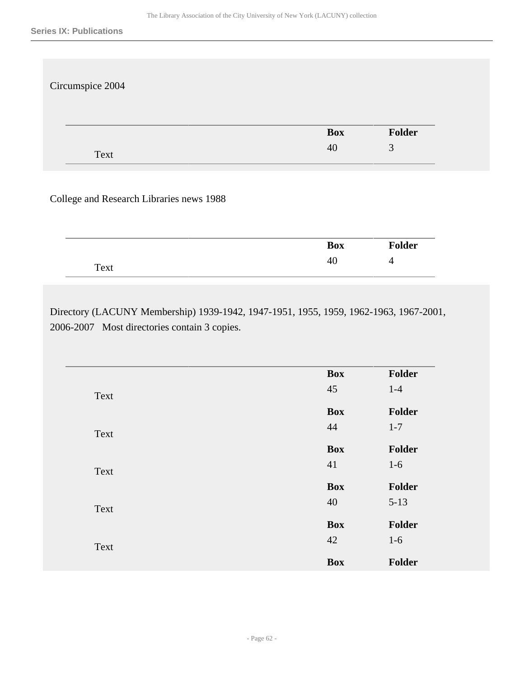| Circumspice 2004 |     |        |
|------------------|-----|--------|
|                  | Box | Folder |
| Text             | 40  | 3      |

## College and Research Libraries news 1988

|      | <b>Box</b> | <b>Folder</b> |
|------|------------|---------------|
| Text | -46        | . .           |

Directory (LACUNY Membership) 1939-1942, 1947-1951, 1955, 1959, 1962-1963, 1967-2001, 2006-2007 Most directories contain 3 copies.

| <b>Box</b> | Folder                                       |
|------------|----------------------------------------------|
| 45         | $1-4$                                        |
|            | Folder                                       |
| 44         | $1 - 7$                                      |
|            |                                              |
|            | Folder                                       |
|            | $1-6$                                        |
| <b>Box</b> | Folder                                       |
| 40         | $5 - 13$                                     |
|            |                                              |
|            | Folder                                       |
| 42         | $1-6$                                        |
| <b>Box</b> | Folder                                       |
|            | <b>Box</b><br><b>Box</b><br>41<br><b>Box</b> |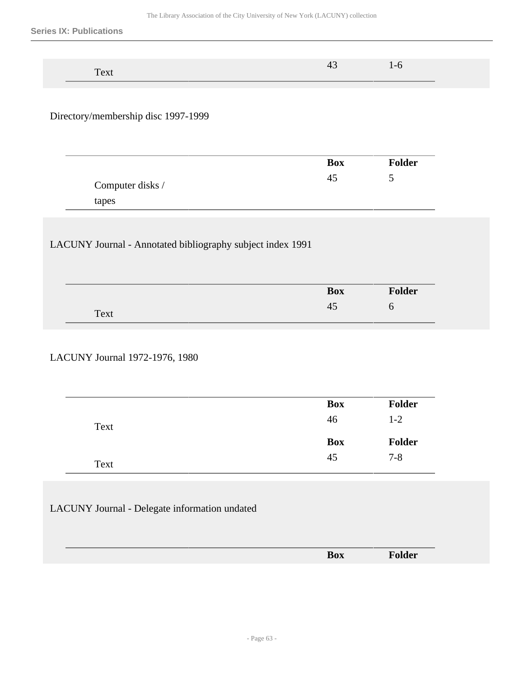| –<br>$- -$<br>エレハし |  |
|--------------------|--|

Directory/membership disc 1997-1999

|                  | <b>Box</b> | <b>Folder</b> |
|------------------|------------|---------------|
| Computer disks / | 45         | ັ             |
| tapes            |            |               |

## LACUNY Journal - Annotated bibliography subject index 1991

|      | <b>Box</b> | <b>Folder</b> |  |
|------|------------|---------------|--|
| Text | 41         | O             |  |

## LACUNY Journal 1972-1976, 1980

|      | <b>Box</b> | <b>Folder</b> |
|------|------------|---------------|
| Text | 46         | $1-2$         |
|      | <b>Box</b> | Folder        |
|      |            |               |

## LACUNY Journal - Delegate information undated

| ------- |                                 |  |
|---------|---------------------------------|--|
|         | $\overline{\phantom{a}}$<br>Box |  |
|         |                                 |  |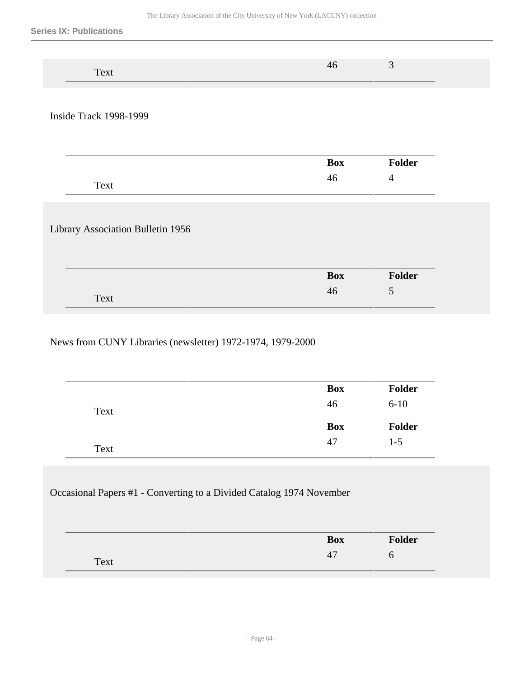| ______ | ------- |  |  |
|--------|---------|--|--|

Inside Track 1998-1999

|      | <b>Box</b> | <b>Folder</b> |
|------|------------|---------------|
| Text | HU.        | -             |

## Library Association Bulletin 1956

| ------- | <b>Box</b> | <b>Folder</b> |
|---------|------------|---------------|
| Text    | 40         | ັ             |

### News from CUNY Libraries (newsletter) 1972-1974, 1979-2000

|      | <b>Box</b> | <b>Folder</b> |
|------|------------|---------------|
| Text | 46         | $6 - 10$      |
|      |            |               |
|      | <b>Box</b> | Folder        |

## Occasional Papers #1 - Converting to a Divided Catalog 1974 November

| ____ | <b>Box</b> | <b>Folder</b> |
|------|------------|---------------|
| Text | Ή.         |               |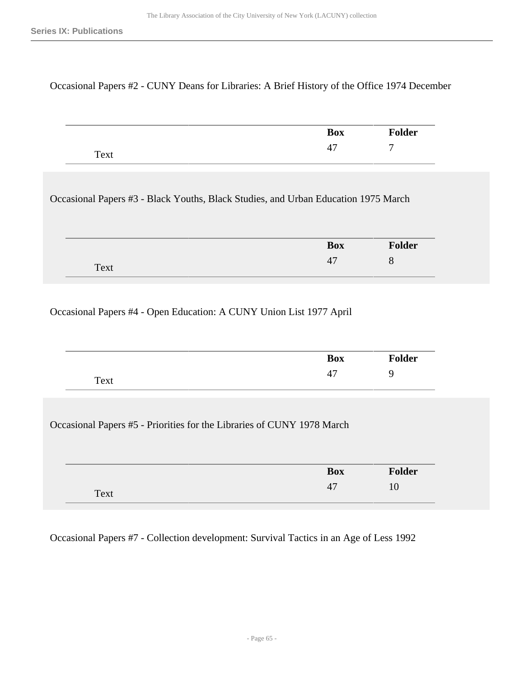#### Occasional Papers #2 - CUNY Deans for Libraries: A Brief History of the Office 1974 December

|      | <b>Box</b>                      | <b>Folder</b>            |
|------|---------------------------------|--------------------------|
| Text | $\overline{\phantom{0}}$<br>, ד | $\overline{\phantom{0}}$ |

Occasional Papers #3 - Black Youths, Black Studies, and Urban Education 1975 March

|      | $\mathbf{D}_{\mathbf{A}}$<br>DUA | . .<br>ler           |
|------|----------------------------------|----------------------|
| Text | 4                                | $\ddot{\phantom{1}}$ |

### Occasional Papers #4 - Open Education: A CUNY Union List 1977 April

| __   | <b>Box</b>                      | Folder |
|------|---------------------------------|--------|
| Text | $\overline{\phantom{0}}$<br>. . |        |

Occasional Papers #5 - Priorities for the Libraries of CUNY 1978 March

|      | <b>Box</b> | <b>Folder</b> |
|------|------------|---------------|
| Text | 47         |               |

Occasional Papers #7 - Collection development: Survival Tactics in an Age of Less 1992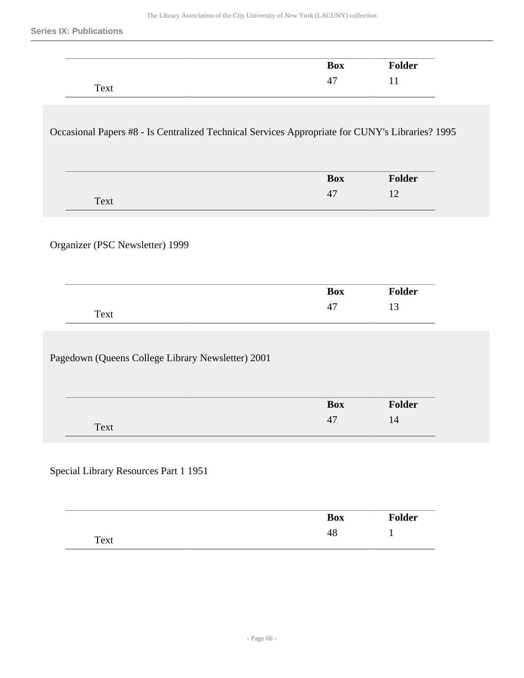$\frac{1}{2}$ 

|                                                                                                 | <b>Box</b>       | Folder       |
|-------------------------------------------------------------------------------------------------|------------------|--------------|
| Text                                                                                            | 47               | 11           |
| Occasional Papers #8 - Is Centralized Technical Services Appropriate for CUNY's Libraries? 1995 |                  |              |
|                                                                                                 | <b>Box</b>       | Folder       |
| Text                                                                                            | 47               | 12           |
|                                                                                                 | <b>Box</b><br>47 | Folder<br>13 |
| Text                                                                                            |                  |              |
| Pagedown (Queens College Library Newsletter) 2001                                               |                  |              |
|                                                                                                 |                  |              |
|                                                                                                 | <b>Box</b>       | Folder       |

|      | <b>Box</b> | <b>Folder</b> |
|------|------------|---------------|
| Text | 48         | <b>.</b><br>- |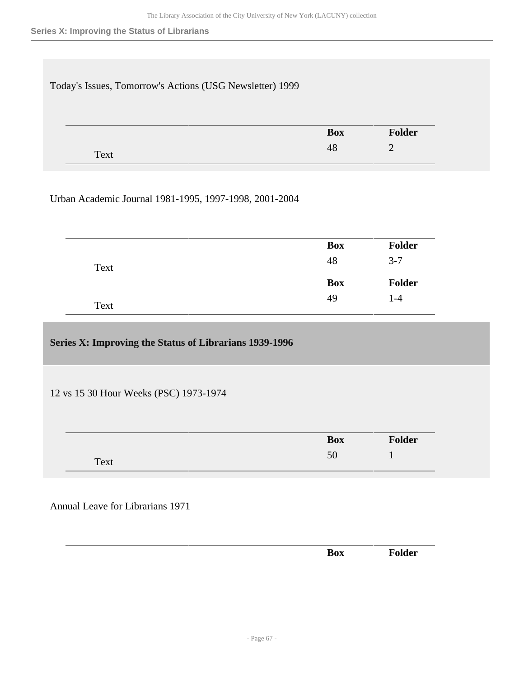#### **Series X: Improving the Status of Librarians**

| Today's Issues, Tomorrow's Actions (USG Newsletter) 1999 |            |                |
|----------------------------------------------------------|------------|----------------|
|                                                          | <b>Box</b> | Folder         |
|                                                          | 48         | $\overline{2}$ |

## Urban Academic Journal 1981-1995, 1997-1998, 2001-2004

| <b>Box</b> | Folder        |
|------------|---------------|
| 48         | $3 - 7$       |
| <b>Box</b> | <b>Folder</b> |
| 49         | $1 - 4$       |
|            |               |

### **Series X: Improving the Status of Librarians 1939-1996**

12 vs 15 30 Hour Weeks (PSC) 1973-1974

|      | <b>Box</b> | <b>Folder</b> |
|------|------------|---------------|
| Text | 50<br>υc   |               |

## Annual Leave for Librarians 1971

| ___ |          |              |
|-----|----------|--------------|
|     | D<br>DVЛ | $\mathbf{A}$ |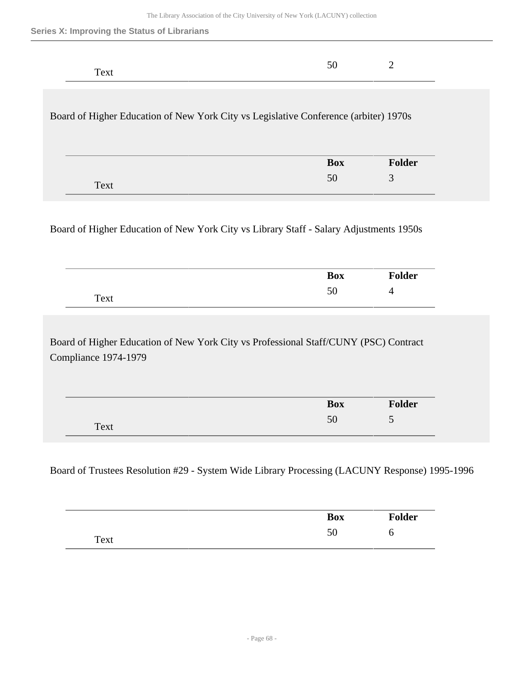|  |  |  |  |  |  | Series X: Improving the Status of Librarians |
|--|--|--|--|--|--|----------------------------------------------|
|--|--|--|--|--|--|----------------------------------------------|

| Text                                                                                 | 50         | 2      |
|--------------------------------------------------------------------------------------|------------|--------|
| Board of Higher Education of New York City vs Legislative Conference (arbiter) 1970s |            |        |
|                                                                                      | <b>Box</b> | Folder |
| Text                                                                                 | 50         | 3      |

Board of Higher Education of New York City vs Library Staff - Salary Adjustments 1950s

|      | <b>Box</b> | <b>Folder</b> |
|------|------------|---------------|
| Text | 50<br>υU   | Д             |

Board of Higher Education of New York City vs Professional Staff/CUNY (PSC) Contract Compliance 1974-1979

|      | <b>Box</b> | 'older                        |
|------|------------|-------------------------------|
| Text | 50         | $\overline{\phantom{0}}$<br>ັ |

### Board of Trustees Resolution #29 - System Wide Library Processing (LACUNY Response) 1995-1996

|      | <b>Box</b> | <b>Folder</b> |
|------|------------|---------------|
| Text | υU         | U             |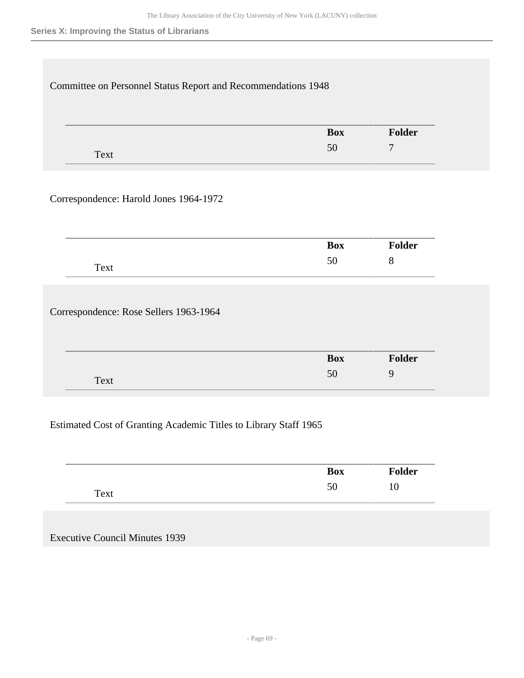### **Series X: Improving the Status of Librarians**

|      | <b>Box</b> | Folder         |
|------|------------|----------------|
| Text | 50         | $\overline{7}$ |
|      |            |                |
|      | <b>Box</b> | <b>Folder</b>  |
| Text | 50         | 8              |
|      |            |                |

## Estimated Cost of Granting Academic Titles to Library Staff 1965

| ______       | <b>Box</b> | <b>Folder</b> |
|--------------|------------|---------------|
| Text<br>____ | υc         | LU            |

Executive Council Minutes 1939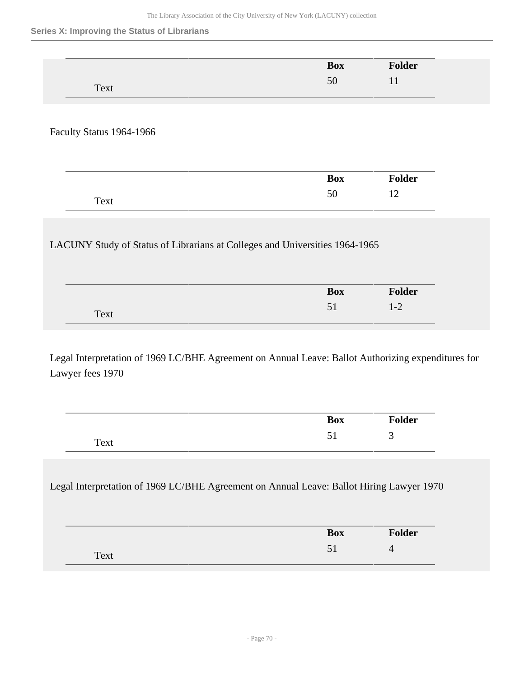#### **Series X: Improving the Status of Librarians**

|                                                                             | <b>Box</b> | Folder        |
|-----------------------------------------------------------------------------|------------|---------------|
| Text                                                                        | 50         | 11            |
|                                                                             |            |               |
| Faculty Status 1964-1966                                                    |            |               |
|                                                                             |            |               |
|                                                                             | <b>Box</b> | <b>Folder</b> |
|                                                                             |            |               |
| Text                                                                        | 50         | 12            |
|                                                                             |            |               |
| LACUNY Study of Status of Librarians at Colleges and Universities 1964-1965 |            |               |
|                                                                             |            |               |
|                                                                             | <b>Box</b> | Folder        |

Legal Interpretation of 1969 LC/BHE Agreement on Annual Leave: Ballot Authorizing expenditures for Lawyer fees 1970

|      | <b>Box</b> | <b>Folder</b> |
|------|------------|---------------|
| Text | ◡▴         | ັ             |

Legal Interpretation of 1969 LC/BHE Agreement on Annual Leave: Ballot Hiring Lawyer 1970

|      | <b>Box</b> | <b>Folder</b> |
|------|------------|---------------|
| Text | ◡▴         |               |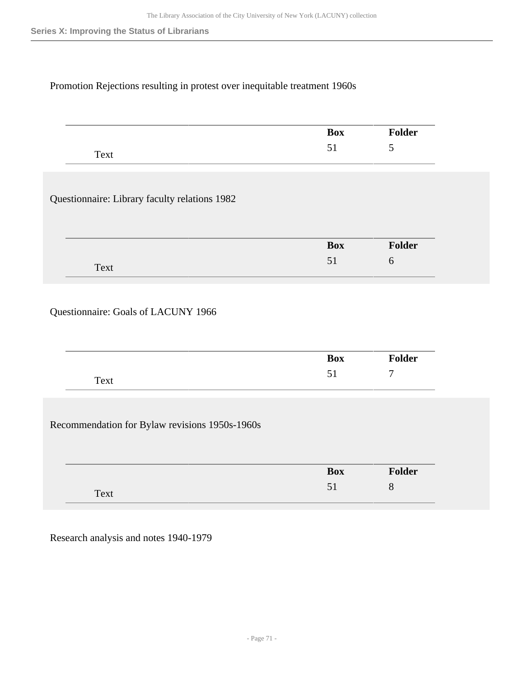### Promotion Rejections resulting in protest over inequitable treatment 1960s

|                                               | <b>Box</b> | <b>Folder</b> |
|-----------------------------------------------|------------|---------------|
| Text                                          | 51         | 5             |
|                                               |            |               |
|                                               |            |               |
| Questionnaire: Library faculty relations 1982 |            |               |
|                                               | <b>Box</b> | Folder        |

## Questionnaire: Goals of LACUNY 1966

|      | <b>Box</b> | <b>Folder</b> |
|------|------------|---------------|
| Text |            | −             |

Recommendation for Bylaw revisions 1950s-1960s

| ___  | <b>Box</b> | <b>dder</b> |
|------|------------|-------------|
| Text |            | Ω           |

Research analysis and notes 1940-1979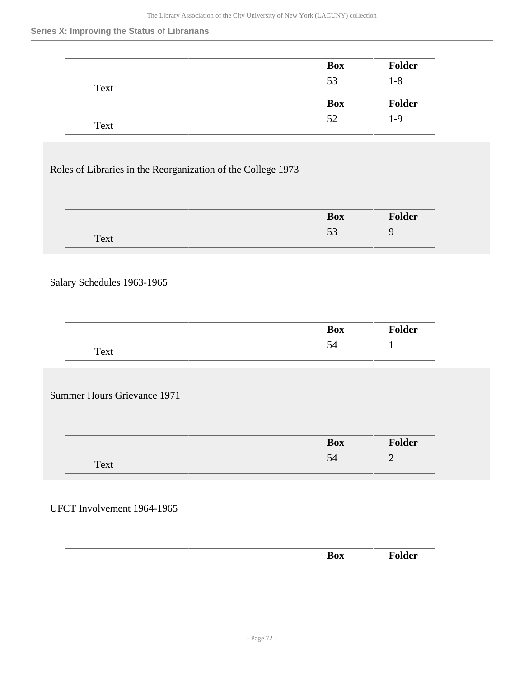#### **Series X: Improving the Status of Librarians**

|      | <b>Box</b> | <b>Folder</b> |
|------|------------|---------------|
| Text | 53         | $1 - 8$       |
|      |            |               |
|      | <b>Box</b> | <b>Folder</b> |

### Roles of Libraries in the Reorganization of the College 1973

| ------- | <b>Box</b>       | Folder |
|---------|------------------|--------|
| Text    | $\epsilon$<br>ັບ |        |

### Salary Schedules 1963-1965

| __                                               | <b>Box</b> | <b>Folder</b> |
|--------------------------------------------------|------------|---------------|
| m<br>$\cdot \mathbf{a} \mathbf{v}^T$<br>UΛL<br>- | J4         |               |

Summer Hours Grievance 1971

| ------- | <b>Box</b> | der vider |
|---------|------------|-----------|
| Text    | JЧ         | ⌒<br>-    |

### UFCT Involvement 1964-1965

| __ |  |                        |  |
|----|--|------------------------|--|
|    |  | ∽<br>$\sim$ $-$<br>DVЛ |  |
|    |  |                        |  |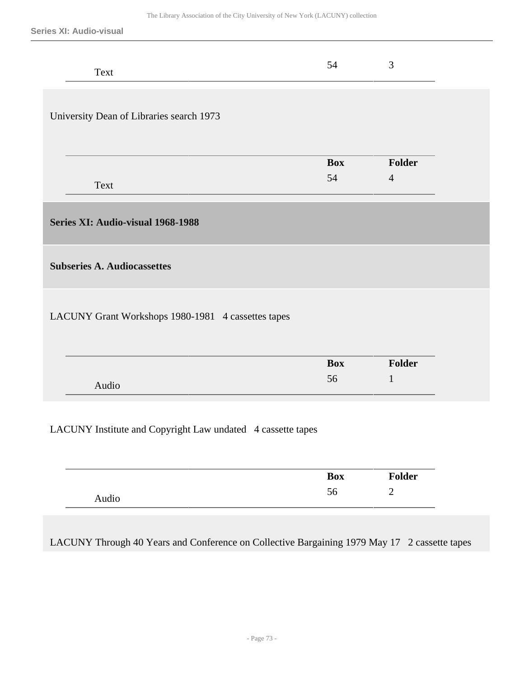**Series XI: Audio-visual**

| Text                                                        | 54               | 3                        |  |
|-------------------------------------------------------------|------------------|--------------------------|--|
| University Dean of Libraries search 1973                    |                  |                          |  |
| Text                                                        | <b>Box</b><br>54 | Folder<br>$\overline{4}$ |  |
| Series XI: Audio-visual 1968-1988                           |                  |                          |  |
| <b>Subseries A. Audiocassettes</b>                          |                  |                          |  |
| LACUNY Grant Workshops 1980-1981 4 cassettes tapes          |                  |                          |  |
|                                                             | <b>Box</b>       | Folder                   |  |
| Audio                                                       | 56               | $\mathbf{1}$             |  |
| LACUNY Institute and Copyright Law undated 4 cassette tapes |                  |                          |  |

|       | <b>Box</b> | <b>Folder</b> |
|-------|------------|---------------|
| Audio | υU         |               |

LACUNY Through 40 Years and Conference on Collective Bargaining 1979 May 17 2 cassette tapes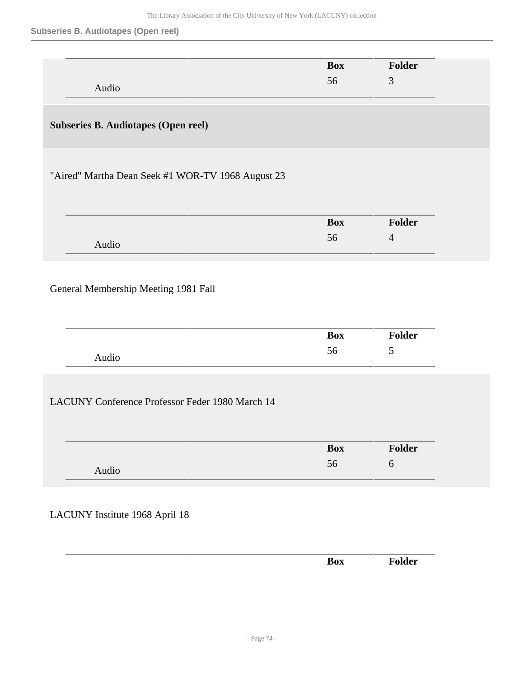## **Subseries B. Audiotapes (Open reel)**

|                                                        | <b>Box</b> | Folder         |
|--------------------------------------------------------|------------|----------------|
| Audio                                                  | 56         | 3              |
|                                                        |            |                |
|                                                        |            |                |
| <b>Subseries B. Audiotapes (Open reel)</b>             |            |                |
|                                                        |            |                |
|                                                        |            |                |
| "Aired" Martha Dean Seek #1 WOR-TV 1968 August 23      |            |                |
|                                                        |            |                |
|                                                        |            |                |
|                                                        | <b>Box</b> | Folder         |
| Audio                                                  | 56         | $\overline{4}$ |
|                                                        |            |                |
|                                                        |            |                |
| General Membership Meeting 1981 Fall                   |            |                |
|                                                        |            |                |
|                                                        |            |                |
|                                                        | <b>Box</b> | Folder         |
|                                                        | 56         | 5              |
| Audio                                                  |            |                |
|                                                        |            |                |
|                                                        |            |                |
| <b>LACUNY Conference Professor Feder 1980 March 14</b> |            |                |
|                                                        |            |                |
|                                                        |            |                |
|                                                        |            |                |
|                                                        | <b>Box</b> | Folder         |
|                                                        | 56         | $\sqrt{6}$     |
| Audio                                                  |            |                |
|                                                        |            |                |
| LACUNY Institute 1968 April 18                         |            |                |

|  | $\sim$ |  |
|--|--------|--|
|  |        |  |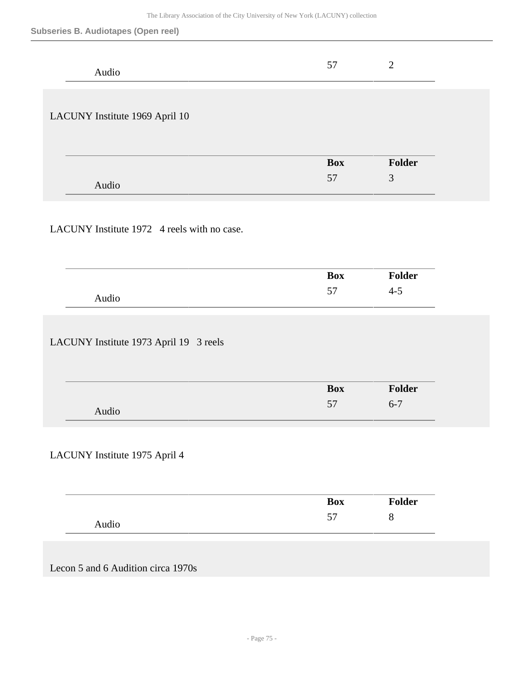#### **Subseries B. Audiotapes (Open reel)**

| Audio                                       | 57         | $\sqrt{2}$     |
|---------------------------------------------|------------|----------------|
| LACUNY Institute 1969 April 10              |            |                |
|                                             |            |                |
|                                             | <b>Box</b> | Folder         |
| Audio                                       | 57         | $\mathfrak{Z}$ |
|                                             |            |                |
| LACUNY Institute 1972 4 reels with no case. |            |                |
|                                             |            |                |
|                                             | <b>Box</b> | Folder         |
| Audio                                       | 57         | $4 - 5$        |
| LACUNY Institute 1973 April 19 3 reels      |            |                |
|                                             | <b>Box</b> | Folder         |
| Audio                                       | 57         | $6 - 7$        |
|                                             |            |                |
| LACUNY Institute 1975 April 4               |            |                |
|                                             |            |                |
|                                             | <b>Box</b> | Folder         |
| Audio                                       | 57         | $8\,$          |
|                                             |            |                |
| Lecon 5 and 6 Audition circa 1970s          |            |                |
|                                             |            |                |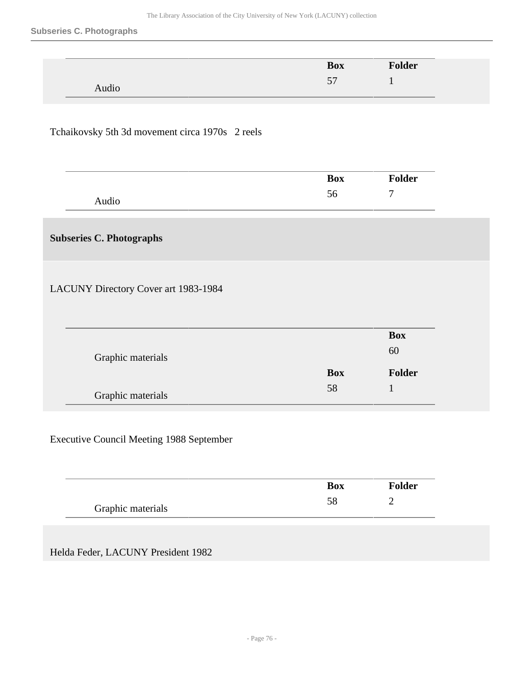#### **Subseries C. Photographs**

|       | <b>Box</b> | <b>Folder</b> |
|-------|------------|---------------|
|       | 57         |               |
| Audio |            |               |

## Tchaikovsky 5th 3d movement circa 1970s 2 reels

|       | <b>Box</b> | <b>Folder</b> |
|-------|------------|---------------|
| Audio | ЭO         | -             |

# **Subseries C. Photographs**

LACUNY Directory Cover art 1983-1984

|                   |            | <b>Box</b>    |
|-------------------|------------|---------------|
| Graphic materials |            | 60            |
|                   | <b>Box</b> | <b>Folder</b> |
|                   | 58         |               |

## Executive Council Meeting 1988 September

|                   | Box | <b>Folder</b> |
|-------------------|-----|---------------|
| Graphic materials |     |               |

Helda Feder, LACUNY President 1982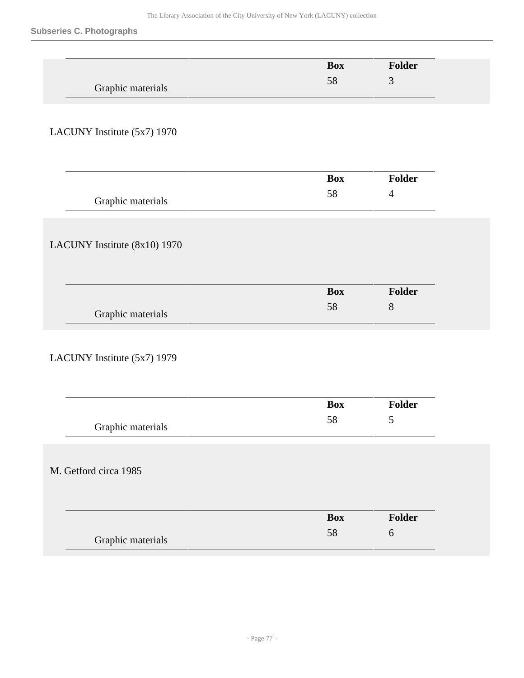## **Subseries C. Photographs**

|                              | <b>Box</b> | Folder         |  |
|------------------------------|------------|----------------|--|
|                              | 58         | $\mathfrak{Z}$ |  |
| Graphic materials            |            |                |  |
|                              |            |                |  |
|                              |            |                |  |
| LACUNY Institute (5x7) 1970  |            |                |  |
|                              |            |                |  |
|                              |            |                |  |
|                              | <b>Box</b> | Folder         |  |
|                              |            |                |  |
| Graphic materials            | 58         | $\overline{4}$ |  |
|                              |            |                |  |
|                              |            |                |  |
|                              |            |                |  |
| LACUNY Institute (8x10) 1970 |            |                |  |
|                              |            |                |  |
|                              |            |                |  |
|                              | <b>Box</b> | Folder         |  |
|                              | 58         | $8\,$          |  |
| Graphic materials            |            |                |  |
|                              |            |                |  |
|                              |            |                |  |
| LACUNY Institute (5x7) 1979  |            |                |  |
|                              |            |                |  |
|                              |            |                |  |
|                              |            |                |  |
|                              | <b>Box</b> | Folder         |  |
| Graphic materials            | 58         | 5              |  |
|                              |            |                |  |
|                              |            |                |  |
|                              |            |                |  |
| M. Getford circa 1985        |            |                |  |
|                              |            |                |  |
|                              |            |                |  |
|                              | <b>Box</b> | Folder         |  |
|                              | 58         | 6              |  |
| Graphic materials            |            |                |  |
|                              |            |                |  |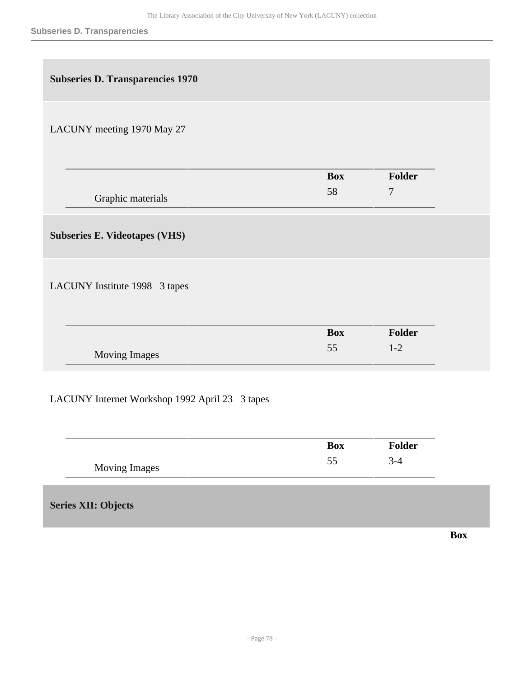| <b>Subseries D. Transparencies 1970</b>        |            |                |            |
|------------------------------------------------|------------|----------------|------------|
| LACUNY meeting 1970 May 27                     |            |                |            |
|                                                | <b>Box</b> | <b>Folder</b>  |            |
| Graphic materials                              | 58         | $\overline{7}$ |            |
| <b>Subseries E. Videotapes (VHS)</b>           |            |                |            |
| LACUNY Institute 1998 3 tapes                  |            |                |            |
|                                                | <b>Box</b> | Folder         |            |
| Moving Images                                  | 55         | $1 - 2$        |            |
| LACUNY Internet Workshop 1992 April 23 3 tapes |            |                |            |
|                                                | <b>Box</b> | Folder         |            |
| <b>Moving Images</b>                           | 55         | $3-4$          |            |
| <b>Series XII: Objects</b>                     |            |                |            |
|                                                |            |                | <b>Box</b> |